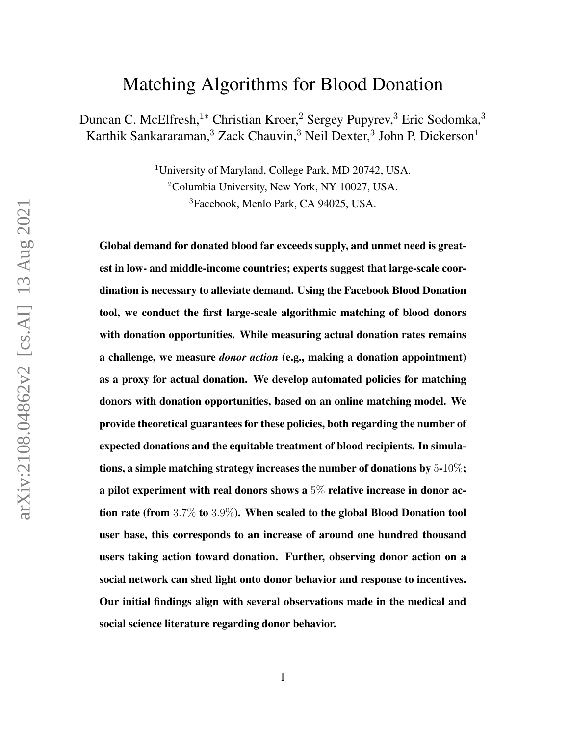# Matching Algorithms for Blood Donation

Duncan C. McElfresh,<sup>1∗</sup> Christian Kroer,<sup>2</sup> Sergey Pupyrev,<sup>3</sup> Eric Sodomka,<sup>3</sup> Karthik Sankararaman, $^3$  Zack Chauvin, $^3$  Neil Dexter, $^3$  John P. Dickerson $^1$ 

> <sup>1</sup>University of Maryland, College Park, MD 20742, USA. <sup>2</sup>Columbia University, New York, NY 10027, USA. <sup>3</sup>Facebook, Menlo Park, CA 94025, USA.

Global demand for donated blood far exceeds supply, and unmet need is greatest in low- and middle-income countries; experts suggest that large-scale coordination is necessary to alleviate demand. Using the Facebook Blood Donation tool, we conduct the first large-scale algorithmic matching of blood donors with donation opportunities. While measuring actual donation rates remains a challenge, we measure *donor action* (e.g., making a donation appointment) as a proxy for actual donation. We develop automated policies for matching donors with donation opportunities, based on an online matching model. We provide theoretical guarantees for these policies, both regarding the number of expected donations and the equitable treatment of blood recipients. In simulations, a simple matching strategy increases the number of donations by 5-10%; a pilot experiment with real donors shows a 5% relative increase in donor action rate (from 3.7% to 3.9%). When scaled to the global Blood Donation tool user base, this corresponds to an increase of around one hundred thousand users taking action toward donation. Further, observing donor action on a social network can shed light onto donor behavior and response to incentives. Our initial findings align with several observations made in the medical and social science literature regarding donor behavior.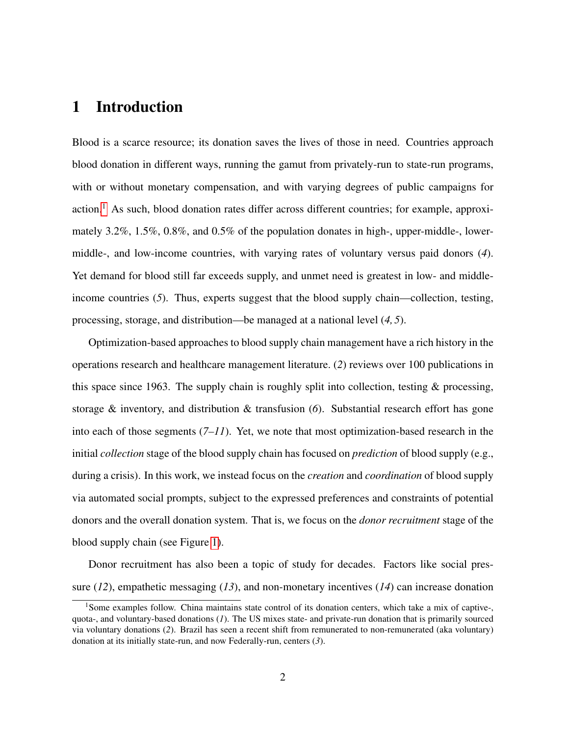# 1 Introduction

Blood is a scarce resource; its donation saves the lives of those in need. Countries approach blood donation in different ways, running the gamut from privately-run to state-run programs, with or without monetary compensation, and with varying degrees of public campaigns for action.<sup>[1](#page-1-0)</sup> As such, blood donation rates differ across different countries; for example, approximately 3.2%, 1.5%, 0.8%, and 0.5% of the population donates in high-, upper-middle-, lowermiddle-, and low-income countries, with varying rates of voluntary versus paid donors (*4*). Yet demand for blood still far exceeds supply, and unmet need is greatest in low- and middleincome countries (*5*). Thus, experts suggest that the blood supply chain—collection, testing, processing, storage, and distribution—be managed at a national level (*4, 5*).

Optimization-based approaches to blood supply chain management have a rich history in the operations research and healthcare management literature. (*2*) reviews over 100 publications in this space since 1963. The supply chain is roughly split into collection, testing  $\&$  processing, storage & inventory, and distribution & transfusion (*6*). Substantial research effort has gone into each of those segments (*7–11*). Yet, we note that most optimization-based research in the initial *collection* stage of the blood supply chain has focused on *prediction* of blood supply (e.g., during a crisis). In this work, we instead focus on the *creation* and *coordination* of blood supply via automated social prompts, subject to the expressed preferences and constraints of potential donors and the overall donation system. That is, we focus on the *donor recruitment* stage of the blood supply chain (see Figure [1\)](#page-2-0).

Donor recruitment has also been a topic of study for decades. Factors like social pressure (*12*), empathetic messaging (*13*), and non-monetary incentives (*14*) can increase donation

<span id="page-1-0"></span><sup>&</sup>lt;sup>1</sup>Some examples follow. China maintains state control of its donation centers, which take a mix of captive-, quota-, and voluntary-based donations (*1*). The US mixes state- and private-run donation that is primarily sourced via voluntary donations (*2*). Brazil has seen a recent shift from remunerated to non-remunerated (aka voluntary) donation at its initially state-run, and now Federally-run, centers (*3*).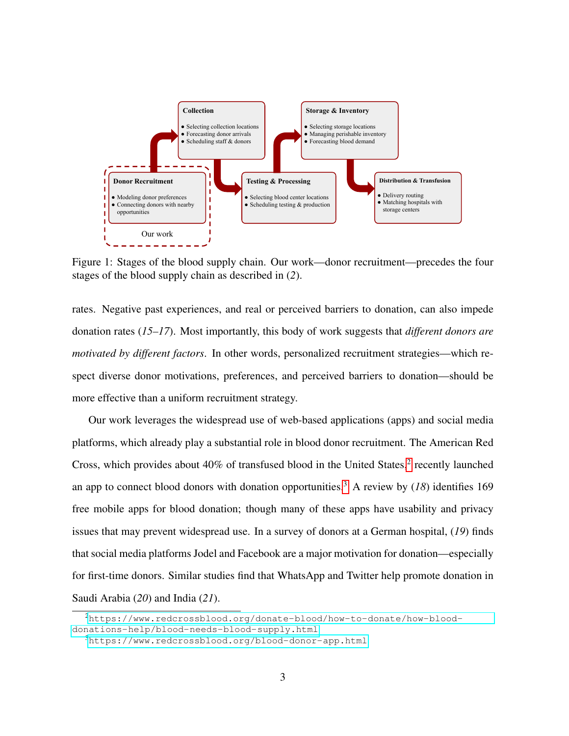<span id="page-2-0"></span>

Figure 1: Stages of the blood supply chain. Our work—donor recruitment—precedes the four stages of the blood supply chain as described in (*2*).

rates. Negative past experiences, and real or perceived barriers to donation, can also impede donation rates (*15–17*). Most importantly, this body of work suggests that *different donors are motivated by different factors*. In other words, personalized recruitment strategies—which respect diverse donor motivations, preferences, and perceived barriers to donation—should be more effective than a uniform recruitment strategy.

Our work leverages the widespread use of web-based applications (apps) and social media platforms, which already play a substantial role in blood donor recruitment. The American Red Cross, which provides about  $40\%$  of transfused blood in the United States,<sup>[2](#page-2-1)</sup> recently launched an app to connect blood donors with donation opportunities.<sup>[3](#page-2-2)</sup> A review by  $(18)$  identifies 169 free mobile apps for blood donation; though many of these apps have usability and privacy issues that may prevent widespread use. In a survey of donors at a German hospital, (*19*) finds that social media platforms Jodel and Facebook are a major motivation for donation—especially for first-time donors. Similar studies find that WhatsApp and Twitter help promote donation in Saudi Arabia (*20*) and India (*21*).

<span id="page-2-1"></span><sup>2</sup>[https://www.redcrossblood.org/donate-blood/how-to-donate/how-blood](https://www.redcrossblood.org/donate-blood/how-to-donate/how-blood-donations-help/blood-needs-blood-supply.html)[donations-help/blood-needs-blood-supply.html](https://www.redcrossblood.org/donate-blood/how-to-donate/how-blood-donations-help/blood-needs-blood-supply.html)

<span id="page-2-2"></span> $3$ <https://www.redcrossblood.org/blood-donor-app.html>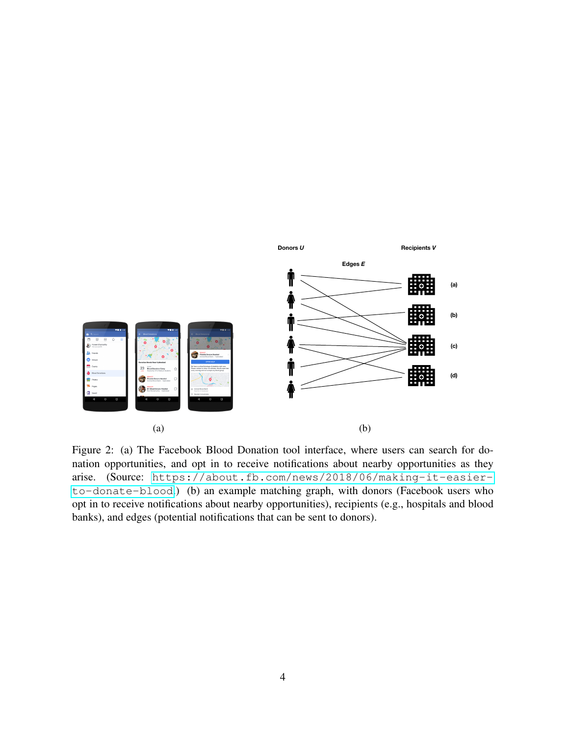<span id="page-3-0"></span>

Figure 2: (a) The Facebook Blood Donation tool interface, where users can search for donation opportunities, and opt in to receive notifications about nearby opportunities as they arise. (Source: [https://about.fb.com/news/2018/06/making-it-easier](https://about.fb.com/news/2018/06/making-it-easier-to-donate-blood)[to-donate-blood](https://about.fb.com/news/2018/06/making-it-easier-to-donate-blood).) (b) an example matching graph, with donors (Facebook users who opt in to receive notifications about nearby opportunities), recipients (e.g., hospitals and blood banks), and edges (potential notifications that can be sent to donors).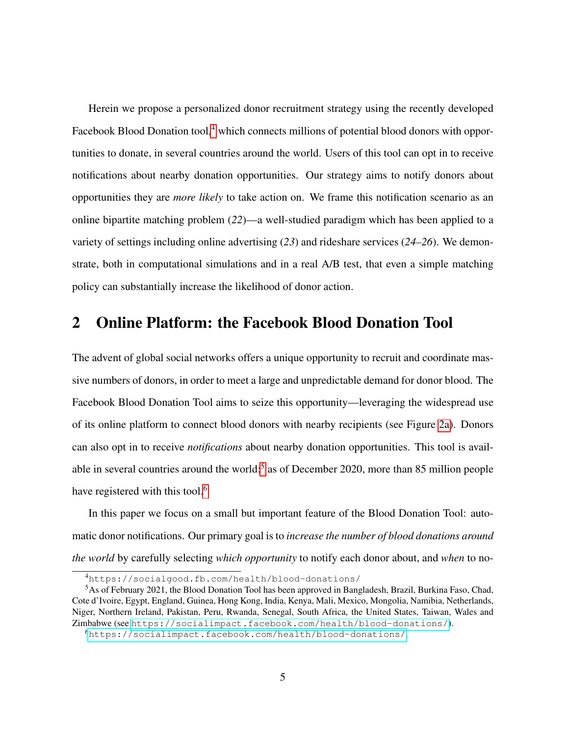Herein we propose a personalized donor recruitment strategy using the recently developed Facebook Blood Donation tool,<sup>[4](#page-4-0)</sup> which connects millions of potential blood donors with opportunities to donate, in several countries around the world. Users of this tool can opt in to receive notifications about nearby donation opportunities. Our strategy aims to notify donors about opportunities they are *more likely* to take action on. We frame this notification scenario as an online bipartite matching problem (*22*)—a well-studied paradigm which has been applied to a variety of settings including online advertising (*23*) and rideshare services (*24–26*). We demonstrate, both in computational simulations and in a real A/B test, that even a simple matching policy can substantially increase the likelihood of donor action.

### 2 Online Platform: the Facebook Blood Donation Tool

The advent of global social networks offers a unique opportunity to recruit and coordinate massive numbers of donors, in order to meet a large and unpredictable demand for donor blood. The Facebook Blood Donation Tool aims to seize this opportunity—leveraging the widespread use of its online platform to connect blood donors with nearby recipients (see Figure [2a\)](#page-3-0). Donors can also opt in to receive *notifications* about nearby donation opportunities. This tool is avail-able in several countries around the world;<sup>[5](#page-4-1)</sup> as of December 2020, more than 85 million people have registered with this tool.<sup>[6](#page-4-2)</sup>

In this paper we focus on a small but important feature of the Blood Donation Tool: automatic donor notifications. Our primary goal is to *increase the number of blood donations around the world* by carefully selecting *which opportunity* to notify each donor about, and *when* to no-

<span id="page-4-1"></span><span id="page-4-0"></span><sup>4</sup>https://socialgood.fb.com/health/blood-donations/

<sup>5</sup>As of February 2021, the Blood Donation Tool has been approved in Bangladesh, Brazil, Burkina Faso, Chad, Cote d'Ivoire, Egypt, England, Guinea, Hong Kong, India, Kenya, Mali, Mexico, Mongolia, Namibia, Netherlands, Niger, Northern Ireland, Pakistan, Peru, Rwanda, Senegal, South Africa, the United States, Taiwan, Wales and Zimbabwe (see <https://socialimpact.facebook.com/health/blood-donations/>).

<span id="page-4-2"></span><sup>6</sup><https://socialimpact.facebook.com/health/blood-donations/>.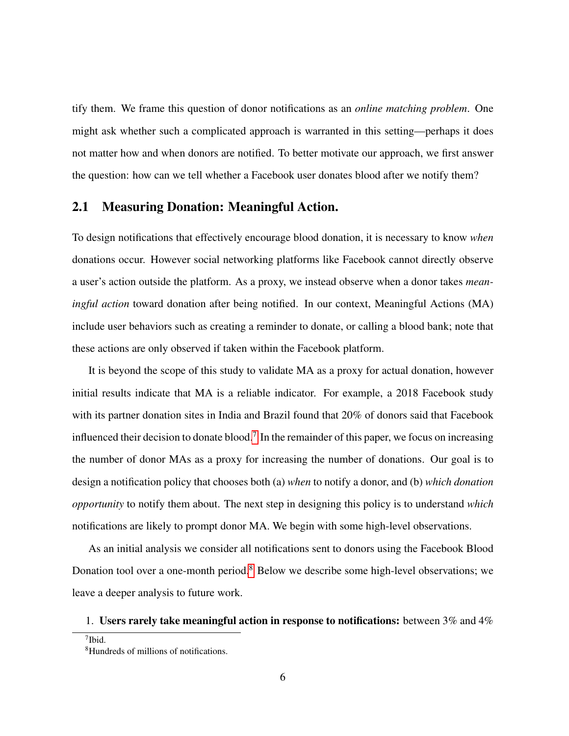tify them. We frame this question of donor notifications as an *online matching problem*. One might ask whether such a complicated approach is warranted in this setting—perhaps it does not matter how and when donors are notified. To better motivate our approach, we first answer the question: how can we tell whether a Facebook user donates blood after we notify them?

### 2.1 Measuring Donation: Meaningful Action.

To design notifications that effectively encourage blood donation, it is necessary to know *when* donations occur. However social networking platforms like Facebook cannot directly observe a user's action outside the platform. As a proxy, we instead observe when a donor takes *meaningful action* toward donation after being notified. In our context, Meaningful Actions (MA) include user behaviors such as creating a reminder to donate, or calling a blood bank; note that these actions are only observed if taken within the Facebook platform.

It is beyond the scope of this study to validate MA as a proxy for actual donation, however initial results indicate that MA is a reliable indicator. For example, a 2018 Facebook study with its partner donation sites in India and Brazil found that 20% of donors said that Facebook influenced their decision to donate blood.<sup>[7](#page-5-0)</sup> In the remainder of this paper, we focus on increasing the number of donor MAs as a proxy for increasing the number of donations. Our goal is to design a notification policy that chooses both (a) *when* to notify a donor, and (b) *which donation opportunity* to notify them about. The next step in designing this policy is to understand *which* notifications are likely to prompt donor MA. We begin with some high-level observations.

As an initial analysis we consider all notifications sent to donors using the Facebook Blood Donation tool over a one-month period.<sup>[8](#page-5-1)</sup> Below we describe some high-level observations; we leave a deeper analysis to future work.

#### 1. Users rarely take meaningful action in response to notifications: between  $3\%$  and  $4\%$

<span id="page-5-0"></span><sup>7</sup> Ibid.

<span id="page-5-1"></span><sup>8</sup>Hundreds of millions of notifications.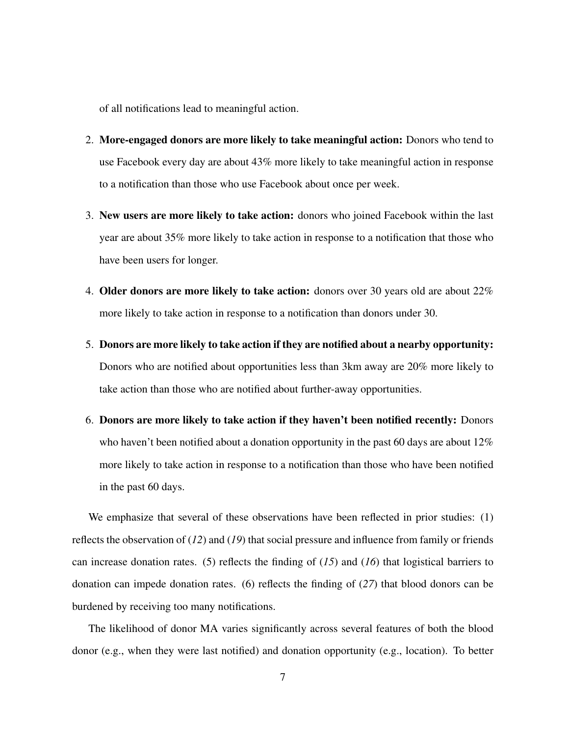of all notifications lead to meaningful action.

- 2. More-engaged donors are more likely to take meaningful action: Donors who tend to use Facebook every day are about 43% more likely to take meaningful action in response to a notification than those who use Facebook about once per week.
- 3. New users are more likely to take action: donors who joined Facebook within the last year are about 35% more likely to take action in response to a notification that those who have been users for longer.
- 4. Older donors are more likely to take action: donors over 30 years old are about 22% more likely to take action in response to a notification than donors under 30.
- 5. Donors are more likely to take action if they are notified about a nearby opportunity: Donors who are notified about opportunities less than 3km away are 20% more likely to take action than those who are notified about further-away opportunities.
- 6. Donors are more likely to take action if they haven't been notified recently: Donors who haven't been notified about a donation opportunity in the past 60 days are about 12% more likely to take action in response to a notification than those who have been notified in the past 60 days.

We emphasize that several of these observations have been reflected in prior studies: (1) reflects the observation of (*12*) and (*19*) that social pressure and influence from family or friends can increase donation rates. (5) reflects the finding of (*15*) and (*16*) that logistical barriers to donation can impede donation rates. (6) reflects the finding of (*27*) that blood donors can be burdened by receiving too many notifications.

The likelihood of donor MA varies significantly across several features of both the blood donor (e.g., when they were last notified) and donation opportunity (e.g., location). To better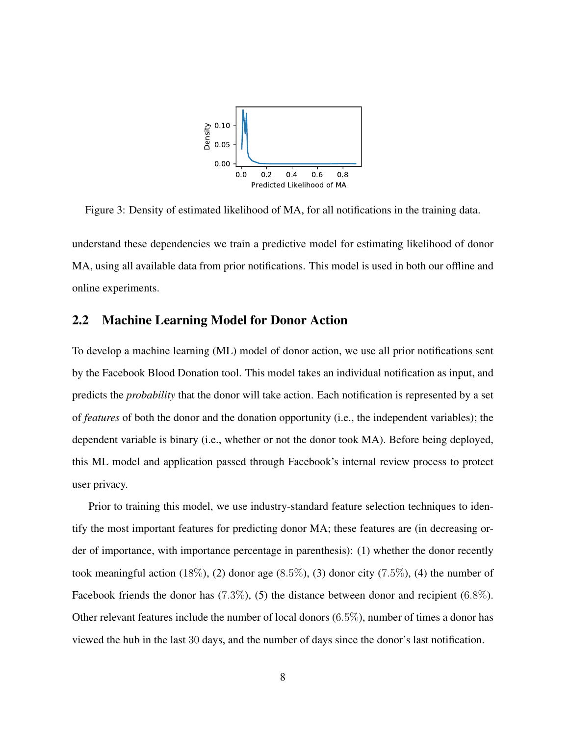

<span id="page-7-0"></span>Figure 3: Density of estimated likelihood of MA, for all notifications in the training data. understand these dependencies we train a predictive model for estimating likelihood of donor MA, using all available data from prior notifications. This model is used in both our offline and

#### <span id="page-7-1"></span>2.2 Machine Learning Model for Donor Action

online experiments.

To develop a machine learning (ML) model of donor action, we use all prior notifications sent by the Facebook Blood Donation tool. This model takes an individual notification as input, and predicts the *probability* that the donor will take action. Each notification is represented by a set of *features* of both the donor and the donation opportunity (i.e., the independent variables); the dependent variable is binary (i.e., whether or not the donor took MA). Before being deployed, this ML model and application passed through Facebook's internal review process to protect user privacy.

Prior to training this model, we use industry-standard feature selection techniques to identify the most important features for predicting donor MA; these features are (in decreasing order of importance, with importance percentage in parenthesis): (1) whether the donor recently took meaningful action  $(18\%, (2)$  donor age  $(8.5\%, (3)$  donor city  $(7.5\%, (4)$  the number of Facebook friends the donor has  $(7.3\%)$ , (5) the distance between donor and recipient  $(6.8\%)$ . Other relevant features include the number of local donors (6.5%), number of times a donor has viewed the hub in the last 30 days, and the number of days since the donor's last notification.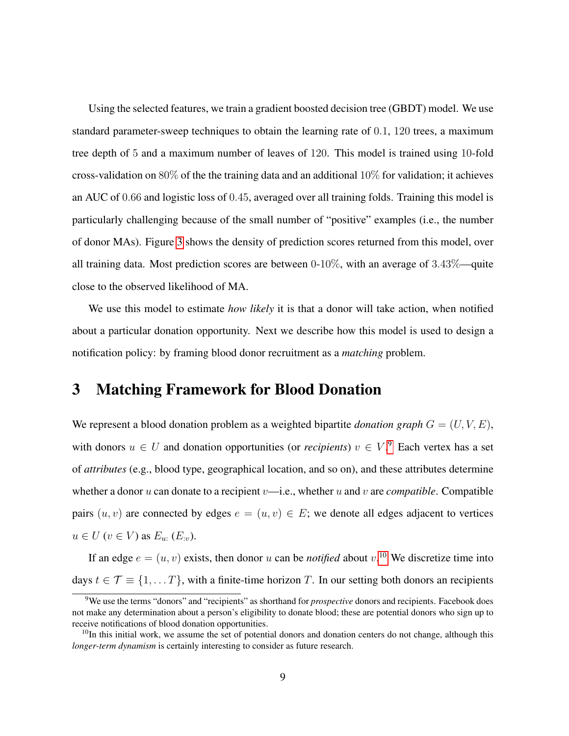Using the selected features, we train a gradient boosted decision tree (GBDT) model. We use standard parameter-sweep techniques to obtain the learning rate of 0.1, 120 trees, a maximum tree depth of 5 and a maximum number of leaves of 120. This model is trained using 10-fold cross-validation on 80% of the the training data and an additional  $10\%$  for validation; it achieves an AUC of 0.66 and logistic loss of 0.45, averaged over all training folds. Training this model is particularly challenging because of the small number of "positive" examples (i.e., the number of donor MAs). Figure [3](#page-7-0) shows the density of prediction scores returned from this model, over all training data. Most prediction scores are between 0-10%, with an average of 3.43%—quite close to the observed likelihood of MA.

We use this model to estimate *how likely* it is that a donor will take action, when notified about a particular donation opportunity. Next we describe how this model is used to design a notification policy: by framing blood donor recruitment as a *matching* problem.

### 3 Matching Framework for Blood Donation

We represent a blood donation problem as a weighted bipartite *donation graph*  $G = (U, V, E)$ , with donors  $u \in U$  and donation opportunities (or *recipients*)  $v \in V$ .<sup>[9](#page-8-0)</sup> Each vertex has a set of *attributes* (e.g., blood type, geographical location, and so on), and these attributes determine whether a donor  $u$  can donate to a recipient  $v$ —i.e., whether  $u$  and  $v$  are *compatible*. Compatible pairs  $(u, v)$  are connected by edges  $e = (u, v) \in E$ ; we denote all edges adjacent to vertices  $u \in U$   $(v \in V)$  as  $E_u$ :  $(E_{:v})$ .

If an edge  $e = (u, v)$  exists, then donor u can be *notified* about  $v$ .<sup>[10](#page-8-1)</sup> We discretize time into days  $t \in \mathcal{T} \equiv \{1, \dots T\}$ , with a finite-time horizon T. In our setting both donors an recipients

<span id="page-8-0"></span><sup>9</sup>We use the terms "donors" and "recipients" as shorthand for *prospective* donors and recipients. Facebook does not make any determination about a person's eligibility to donate blood; these are potential donors who sign up to receive notifications of blood donation opportunities.

<span id="page-8-1"></span> $10$ In this initial work, we assume the set of potential donors and donation centers do not change, although this *longer-term dynamism* is certainly interesting to consider as future research.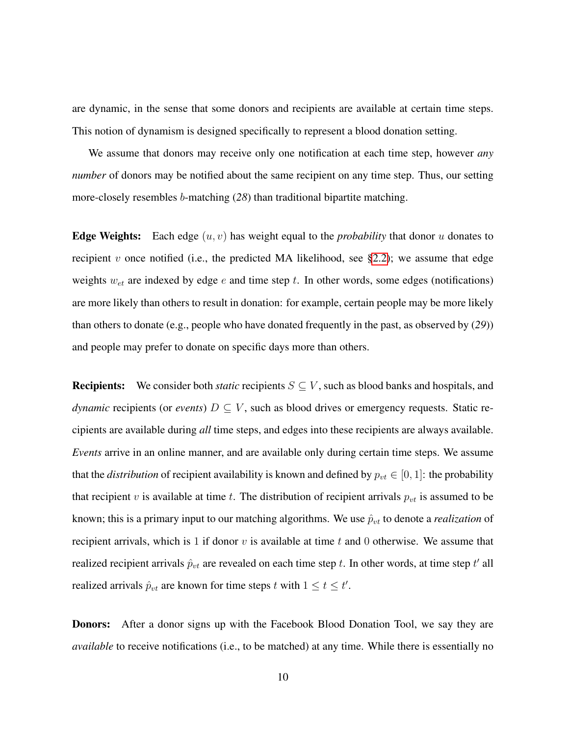are dynamic, in the sense that some donors and recipients are available at certain time steps. This notion of dynamism is designed specifically to represent a blood donation setting.

We assume that donors may receive only one notification at each time step, however *any number* of donors may be notified about the same recipient on any time step. Thus, our setting more-closely resembles b-matching (*28*) than traditional bipartite matching.

**Edge Weights:** Each edge  $(u, v)$  has weight equal to the *probability* that donor u donates to recipient v once notified (i.e., the predicted MA likelihood, see  $\S2.2$ ); we assume that edge weights  $w_{et}$  are indexed by edge e and time step t. In other words, some edges (notifications) are more likely than others to result in donation: for example, certain people may be more likely than others to donate (e.g., people who have donated frequently in the past, as observed by (*29*)) and people may prefer to donate on specific days more than others.

**Recipients:** We consider both *static* recipients  $S \subseteq V$ , such as blood banks and hospitals, and *dynamic* recipients (or *events*)  $D \subseteq V$ , such as blood drives or emergency requests. Static recipients are available during *all* time steps, and edges into these recipients are always available. *Events* arrive in an online manner, and are available only during certain time steps. We assume that the *distribution* of recipient availability is known and defined by  $p_{vt} \in [0, 1]$ : the probability that recipient v is available at time t. The distribution of recipient arrivals  $p_{vt}$  is assumed to be known; this is a primary input to our matching algorithms. We use  $\hat{p}_{vt}$  to denote a *realization* of recipient arrivals, which is 1 if donor  $v$  is available at time  $t$  and 0 otherwise. We assume that realized recipient arrivals  $\hat{p}_{vt}$  are revealed on each time step t. In other words, at time step t' all realized arrivals  $\hat{p}_{vt}$  are known for time steps t with  $1 \le t \le t'$ .

Donors: After a donor signs up with the Facebook Blood Donation Tool, we say they are *available* to receive notifications (i.e., to be matched) at any time. While there is essentially no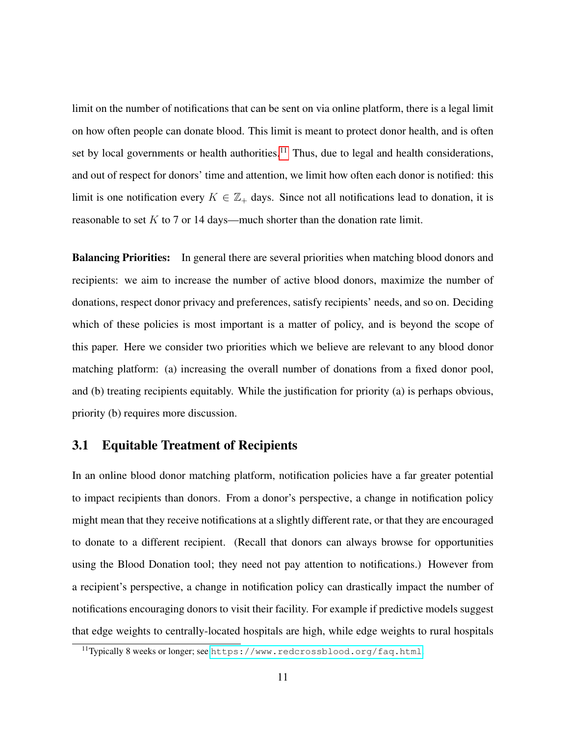limit on the number of notifications that can be sent on via online platform, there is a legal limit on how often people can donate blood. This limit is meant to protect donor health, and is often set by local governments or health authorities.<sup>[11](#page-10-0)</sup> Thus, due to legal and health considerations, and out of respect for donors' time and attention, we limit how often each donor is notified: this limit is one notification every  $K \in \mathbb{Z}_+$  days. Since not all notifications lead to donation, it is reasonable to set  $K$  to 7 or 14 days—much shorter than the donation rate limit.

**Balancing Priorities:** In general there are several priorities when matching blood donors and recipients: we aim to increase the number of active blood donors, maximize the number of donations, respect donor privacy and preferences, satisfy recipients' needs, and so on. Deciding which of these policies is most important is a matter of policy, and is beyond the scope of this paper. Here we consider two priorities which we believe are relevant to any blood donor matching platform: (a) increasing the overall number of donations from a fixed donor pool, and (b) treating recipients equitably. While the justification for priority (a) is perhaps obvious, priority (b) requires more discussion.

### 3.1 Equitable Treatment of Recipients

In an online blood donor matching platform, notification policies have a far greater potential to impact recipients than donors. From a donor's perspective, a change in notification policy might mean that they receive notifications at a slightly different rate, or that they are encouraged to donate to a different recipient. (Recall that donors can always browse for opportunities using the Blood Donation tool; they need not pay attention to notifications.) However from a recipient's perspective, a change in notification policy can drastically impact the number of notifications encouraging donors to visit their facility. For example if predictive models suggest that edge weights to centrally-located hospitals are high, while edge weights to rural hospitals

<span id="page-10-0"></span><sup>11</sup>Typically 8 weeks or longer; see <https://www.redcrossblood.org/faq.html>.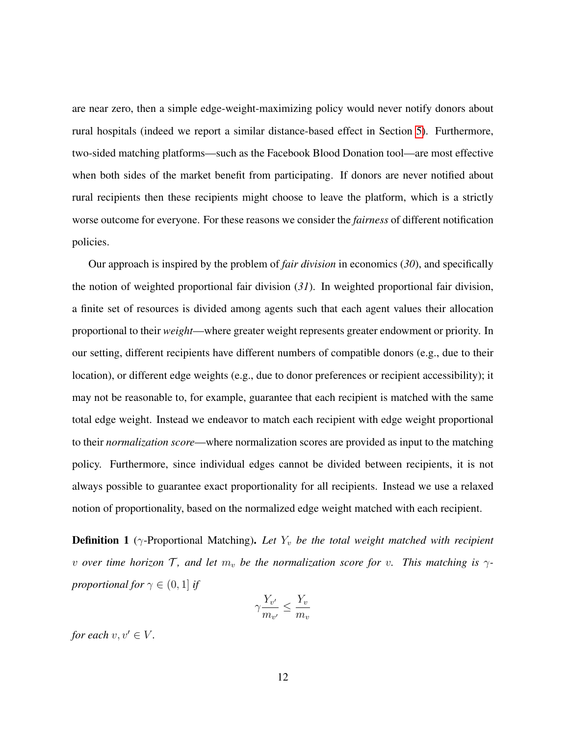are near zero, then a simple edge-weight-maximizing policy would never notify donors about rural hospitals (indeed we report a similar distance-based effect in Section [5\)](#page-22-0). Furthermore, two-sided matching platforms—such as the Facebook Blood Donation tool—are most effective when both sides of the market benefit from participating. If donors are never notified about rural recipients then these recipients might choose to leave the platform, which is a strictly worse outcome for everyone. For these reasons we consider the *fairness* of different notification policies.

Our approach is inspired by the problem of *fair division* in economics (*30*), and specifically the notion of weighted proportional fair division (*31*). In weighted proportional fair division, a finite set of resources is divided among agents such that each agent values their allocation proportional to their *weight*—where greater weight represents greater endowment or priority. In our setting, different recipients have different numbers of compatible donors (e.g., due to their location), or different edge weights (e.g., due to donor preferences or recipient accessibility); it may not be reasonable to, for example, guarantee that each recipient is matched with the same total edge weight. Instead we endeavor to match each recipient with edge weight proportional to their *normalization score*—where normalization scores are provided as input to the matching policy. Furthermore, since individual edges cannot be divided between recipients, it is not always possible to guarantee exact proportionality for all recipients. Instead we use a relaxed notion of proportionality, based on the normalized edge weight matched with each recipient.

**Definition 1** ( $\gamma$ -Proportional Matching). Let  $Y_v$  be the total weight matched with recipient *v over time horizon*  $\mathcal{T}$ *, and let*  $m_v$  *be the normalization score for v. This matching is*  $\gamma$ *proportional for*  $\gamma \in (0, 1]$  *if* 

$$
\gamma \frac{Y_{v'}}{m_{v'}} \le \frac{Y_v}{m_v}
$$

*for each*  $v, v' \in V$ *.*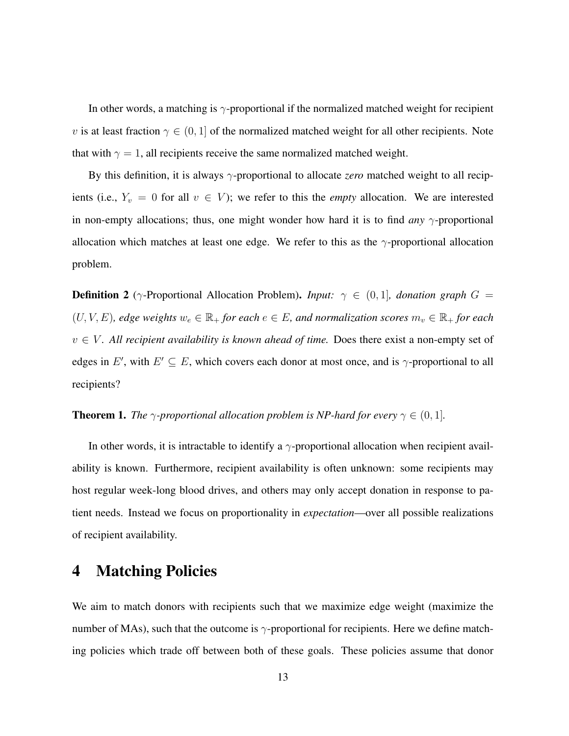In other words, a matching is γ-proportional if the normalized matched weight for recipient v is at least fraction  $\gamma \in (0,1]$  of the normalized matched weight for all other recipients. Note that with  $\gamma = 1$ , all recipients receive the same normalized matched weight.

By this definition, it is always γ-proportional to allocate *zero* matched weight to all recipients (i.e.,  $Y_v = 0$  for all  $v \in V$ ); we refer to this the *empty* allocation. We are interested in non-empty allocations; thus, one might wonder how hard it is to find *any*  $\gamma$ -proportional allocation which matches at least one edge. We refer to this as the  $\gamma$ -proportional allocation problem.

**Definition 2** ( $\gamma$ -Proportional Allocation Problem). *Input:*  $\gamma \in (0,1]$ , *donation graph*  $G =$  $(U, V, E)$ *, edge weights*  $w_e \in \mathbb{R}_+$  *for each*  $e \in E$ *, and normalization scores*  $m_v \in \mathbb{R}_+$  *for each*  $v \in V$ . All recipient availability is known ahead of time. Does there exist a non-empty set of edges in E', with  $E' \subseteq E$ , which covers each donor at most once, and is  $\gamma$ -proportional to all recipients?

<span id="page-12-0"></span>**Theorem 1.** *The*  $\gamma$ -proportional allocation problem is NP-hard for every  $\gamma \in (0, 1]$ *.* 

In other words, it is intractable to identify a  $\gamma$ -proportional allocation when recipient availability is known. Furthermore, recipient availability is often unknown: some recipients may host regular week-long blood drives, and others may only accept donation in response to patient needs. Instead we focus on proportionality in *expectation*—over all possible realizations of recipient availability.

### <span id="page-12-1"></span>4 Matching Policies

We aim to match donors with recipients such that we maximize edge weight (maximize the number of MAs), such that the outcome is  $\gamma$ -proportional for recipients. Here we define matching policies which trade off between both of these goals. These policies assume that donor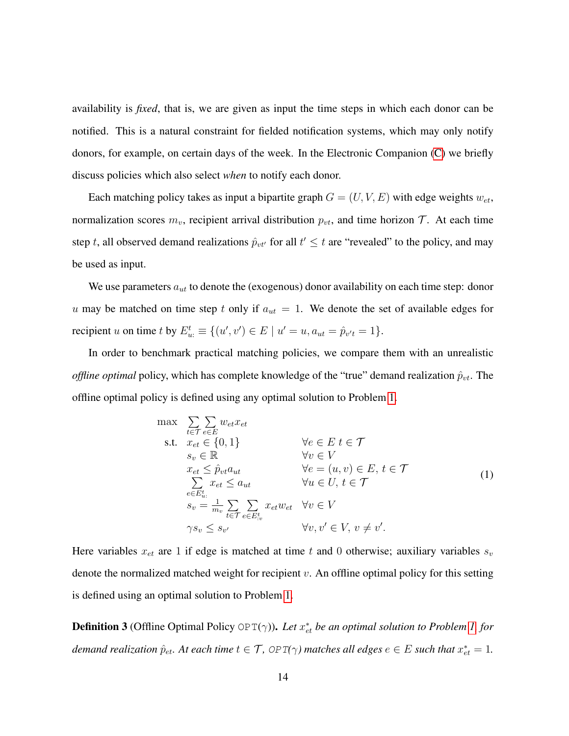availability is *fixed*, that is, we are given as input the time steps in which each donor can be notified. This is a natural constraint for fielded notification systems, which may only notify donors, for example, on certain days of the week. In the Electronic Companion [\(C\)](#page-44-0) we briefly discuss policies which also select *when* to notify each donor.

Each matching policy takes as input a bipartite graph  $G = (U, V, E)$  with edge weights  $w_{et}$ , normalization scores  $m_v$ , recipient arrival distribution  $p_{vt}$ , and time horizon T. At each time step t, all observed demand realizations  $\hat{p}_{vt}$  for all  $t' \leq t$  are "revealed" to the policy, and may be used as input.

We use parameters  $a_{ut}$  to denote the (exogenous) donor availability on each time step: donor u may be matched on time step t only if  $a_{ut} = 1$ . We denote the set of available edges for recipient *u* on time *t* by  $E_{u}^{t} \equiv \{(u', v') \in E \mid u' = u, a_{ut} = \hat{p}_{v't} = 1\}.$ 

In order to benchmark practical matching policies, we compare them with an unrealistic *offline optimal* policy, which has complete knowledge of the "true" demand realization  $\hat{p}_{vt}$ . The offline optimal policy is defined using any optimal solution to Problem [1.](#page-13-0)

<span id="page-13-0"></span>
$$
\max \sum_{t \in \mathcal{T}} \sum_{e \in E} w_{et} x_{et}
$$
\n
$$
\text{s.t.} \quad x_{et} \in \{0, 1\} \qquad \forall e \in E \ t \in \mathcal{T}
$$
\n
$$
s_v \in \mathbb{R} \qquad \forall v \in V
$$
\n
$$
x_{et} \leq \hat{p}_{vt} a_{ut} \qquad \forall e = (u, v) \in E, t \in \mathcal{T}
$$
\n
$$
\sum_{e \in E_{u}^t} x_{et} \leq a_{ut} \qquad \forall u \in U, t \in \mathcal{T}
$$
\n
$$
s_v = \frac{1}{m_v} \sum_{t \in \mathcal{T}} \sum_{e \in E_{v}^t} x_{et} w_{et} \qquad \forall v \in V
$$
\n
$$
\gamma s_v \leq s_{v'} \qquad \forall v, v' \in V, v \neq v'.
$$
\n
$$
(1)
$$

Here variables  $x_{et}$  are 1 if edge is matched at time t and 0 otherwise; auxiliary variables  $s_v$ denote the normalized matched weight for recipient  $v$ . An offline optimal policy for this setting is defined using an optimal solution to Problem [1.](#page-13-0)

**Definition 3** (Offline Optimal Policy OPT( $\gamma$ )). Let  $x_{et}^*$  be an optimal solution to Problem [1,](#page-13-0) for  $d$ emand realization  $\hat{p}_{et}$ . At each time  $t \in \mathcal{T}$ , OPT( $\gamma$ ) matches all edges  $e \in E$  such that  $x_{et}^* = 1$ .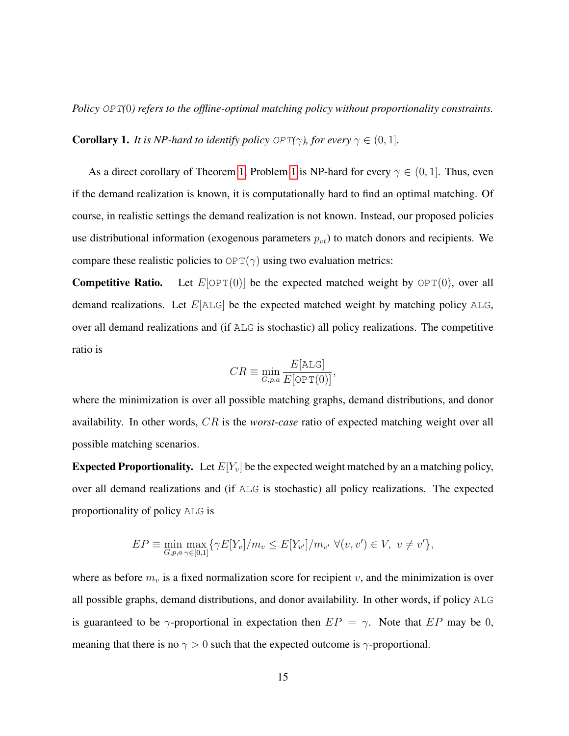*Policy* OPT*(*0*) refers to the offline-optimal matching policy without proportionality constraints.*

**Corollary 1.** *It is NP-hard to identify policy OPT*( $\gamma$ *), for every*  $\gamma \in (0, 1]$ *.* 

As a direct corollary of Theorem [1,](#page-12-0) Problem [1](#page-13-0) is NP-hard for every  $\gamma \in (0,1]$ . Thus, even if the demand realization is known, it is computationally hard to find an optimal matching. Of course, in realistic settings the demand realization is not known. Instead, our proposed policies use distributional information (exogenous parameters  $p_{vt}$ ) to match donors and recipients. We compare these realistic policies to  $OPT(\gamma)$  using two evaluation metrics:

**Competitive Ratio.** Let  $E[OPT(0)]$  be the expected matched weight by  $OPT(0)$ , over all demand realizations. Let  $E[ALG]$  be the expected matched weight by matching policy ALG, over all demand realizations and (if ALG is stochastic) all policy realizations. The competitive ratio is

$$
CR \equiv \min_{G, p, a} \frac{E[\text{ALG}]}{E[\text{OPT}(0)]},
$$

where the minimization is over all possible matching graphs, demand distributions, and donor availability. In other words, CR is the *worst-case* ratio of expected matching weight over all possible matching scenarios.

**Expected Proportionality.** Let  $E[Y_v]$  be the expected weight matched by an a matching policy, over all demand realizations and (if ALG is stochastic) all policy realizations. The expected proportionality of policy ALG is

$$
EP \equiv \min_{G, p, a} \max_{\gamma \in [0,1]} \{ \gamma E[Y_v] / m_v \le E[Y_{v'}] / m_{v'} \ \forall (v, v') \in V, \ v \neq v' \},\
$$

where as before  $m_v$  is a fixed normalization score for recipient v, and the minimization is over all possible graphs, demand distributions, and donor availability. In other words, if policy ALG is guaranteed to be  $\gamma$ -proportional in expectation then  $EP = \gamma$ . Note that  $EP$  may be 0, meaning that there is no  $\gamma > 0$  such that the expected outcome is  $\gamma$ -proportional.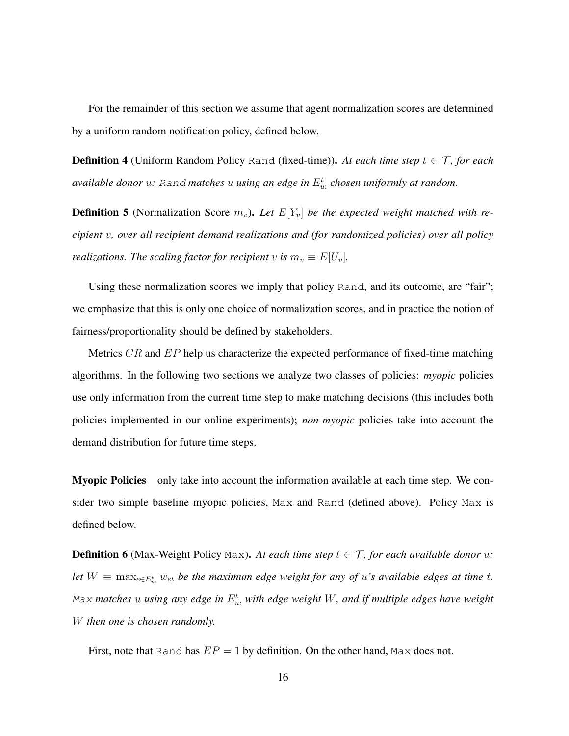For the remainder of this section we assume that agent normalization scores are determined by a uniform random notification policy, defined below.

**Definition 4** (Uniform Random Policy Rand (fixed-time)). At each time step  $t \in \mathcal{T}$ , for each *available donor* u*:* Rand *matches* u *using an edge in* E t u: *chosen uniformly at random.*

**Definition 5** (Normalization Score  $m_v$ ). Let  $E[Y_v]$  be the expected weight matched with re*cipient* v*, over all recipient demand realizations and (for randomized policies) over all policy realizations. The scaling factor for recipient* v *is*  $m_v \equiv E[U_v]$ .

Using these normalization scores we imply that policy Rand, and its outcome, are "fair"; we emphasize that this is only one choice of normalization scores, and in practice the notion of fairness/proportionality should be defined by stakeholders.

Metrics  $CR$  and  $EP$  help us characterize the expected performance of fixed-time matching algorithms. In the following two sections we analyze two classes of policies: *myopic* policies use only information from the current time step to make matching decisions (this includes both policies implemented in our online experiments); *non-myopic* policies take into account the demand distribution for future time steps.

Myopic Policies only take into account the information available at each time step. We consider two simple baseline myopic policies, Max and Rand (defined above). Policy Max is defined below.

**Definition 6** (Max-Weight Policy Max). At each time step  $t \in \mathcal{T}$ , for each available donor u: let  $W \equiv \max_{e \in E_w^t} w_{e t}$  be the maximum edge weight for any of u's available edges at time t. Max matches  $u$  using any edge in  $E_{u:}^t$  with edge weight  $W$ , and if multiple edges have weight W *then one is chosen randomly.*

First, note that Rand has  $EP = 1$  by definition. On the other hand, Max does not.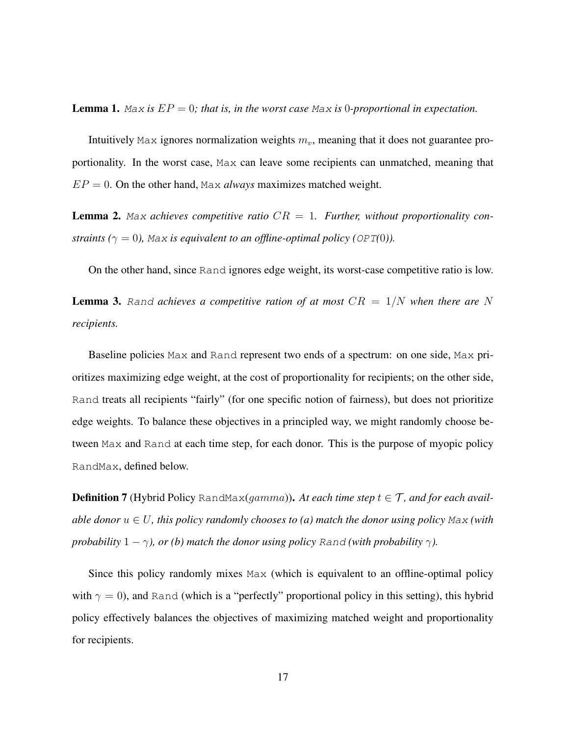<span id="page-16-0"></span>**Lemma 1.** Max is  $EP = 0$ ; that is, in the worst case Max is 0-proportional in expectation.

Intuitively Max ignores normalization weights  $m<sub>v</sub>$ , meaning that it does not guarantee proportionality. In the worst case, Max can leave some recipients can unmatched, meaning that  $EP = 0$ . On the other hand, Max *always* maximizes matched weight.

<span id="page-16-1"></span>**Lemma 2.** Max achieves competitive ratio  $CR = 1$ . Further, without proportionality con*straints* ( $\gamma = 0$ ), Max *is equivalent to an offline-optimal policy* (*OPT*(0*)*).

On the other hand, since Rand ignores edge weight, its worst-case competitive ratio is low.

<span id="page-16-2"></span>**Lemma 3.** Rand achieves a competitive ration of at most  $CR = 1/N$  when there are N *recipients.*

Baseline policies Max and Rand represent two ends of a spectrum: on one side, Max prioritizes maximizing edge weight, at the cost of proportionality for recipients; on the other side, Rand treats all recipients "fairly" (for one specific notion of fairness), but does not prioritize edge weights. To balance these objectives in a principled way, we might randomly choose between Max and Rand at each time step, for each donor. This is the purpose of myopic policy RandMax, defined below.

**Definition 7** (Hybrid Policy RandMax( $gamma$ ). At each time step  $t \in \mathcal{T}$ , and for each avail*able donor*  $u \in U$ , this policy randomly chooses to (a) match the donor using policy Max (with *probability*  $1 - \gamma$ *), or (b) match the donor using policy Rand (with probability*  $\gamma$ *).* 

Since this policy randomly mixes Max (which is equivalent to an offline-optimal policy with  $\gamma = 0$ ), and Rand (which is a "perfectly" proportional policy in this setting), this hybrid policy effectively balances the objectives of maximizing matched weight and proportionality for recipients.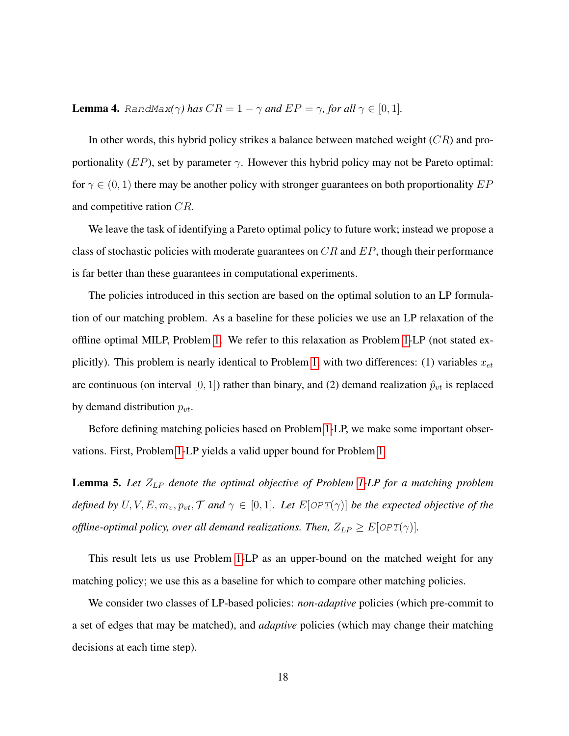**Lemma 4.** RandMax( $\gamma$ *)* has  $CR = 1 - \gamma$  and  $EP = \gamma$ , for all  $\gamma \in [0, 1]$ .

In other words, this hybrid policy strikes a balance between matched weight  $(CR)$  and proportionality (EP), set by parameter  $\gamma$ . However this hybrid policy may not be Pareto optimal: for  $\gamma \in (0, 1)$  there may be another policy with stronger guarantees on both proportionality  $EP$ and competitive ration CR.

We leave the task of identifying a Pareto optimal policy to future work; instead we propose a class of stochastic policies with moderate guarantees on  $CR$  and  $EP$ , though their performance is far better than these guarantees in computational experiments.

The policies introduced in this section are based on the optimal solution to an LP formulation of our matching problem. As a baseline for these policies we use an LP relaxation of the offline optimal MILP, Problem [1.](#page-13-0) We refer to this relaxation as Problem [1-](#page-13-0)LP (not stated ex-plicitly). This problem is nearly identical to Problem [1,](#page-13-0) with two differences: (1) variables  $x_{et}$ are continuous (on interval [0, 1]) rather than binary, and (2) demand realization  $\hat{p}_{vt}$  is replaced by demand distribution  $p_{vt}$ .

Before defining matching policies based on Problem [1-](#page-13-0)LP, we make some important observations. First, Problem [1-](#page-13-0)LP yields a valid upper bound for Problem [1](#page-13-0)

<span id="page-17-0"></span>Lemma 5. Let  $Z_{LP}$  denote the optimal objective of Problem [1-](#page-13-0)LP for a matching problem *defined by*  $U, V, E, m_v, p_{vt}, \mathcal{T}$  *and*  $\gamma \in [0, 1]$ *. Let*  $E[OPT(\gamma)]$  *be the expected objective of the offline-optimal policy, over all demand realizations. Then,*  $Z_{LP} \geq E[OPT(\gamma)]$ .

This result lets us use Problem [1-](#page-13-0)LP as an upper-bound on the matched weight for any matching policy; we use this as a baseline for which to compare other matching policies.

We consider two classes of LP-based policies: *non-adaptive* policies (which pre-commit to a set of edges that may be matched), and *adaptive* policies (which may change their matching decisions at each time step).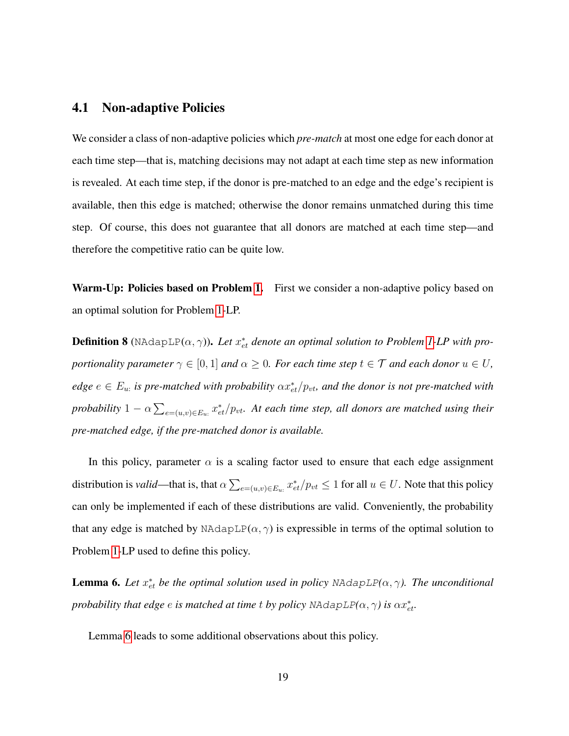#### 4.1 Non-adaptive Policies

We consider a class of non-adaptive policies which *pre-match* at most one edge for each donor at each time step—that is, matching decisions may not adapt at each time step as new information is revealed. At each time step, if the donor is pre-matched to an edge and the edge's recipient is available, then this edge is matched; otherwise the donor remains unmatched during this time step. Of course, this does not guarantee that all donors are matched at each time step—and therefore the competitive ratio can be quite low.

Warm-Up: Policies based on Problem [1.](#page-13-0) First we consider a non-adaptive policy based on an optimal solution for Problem [1-](#page-13-0)LP.

**Definition 8** (NAdapLP $(\alpha, \gamma)$ ). Let  $x_{et}^*$  denote an optimal solution to Problem [1-](#page-13-0)LP with pro*portionality parameter*  $\gamma \in [0, 1]$  *and*  $\alpha \geq 0$ *. For each time step*  $t \in \mathcal{T}$  *and each donor*  $u \in U$ *,*  $edge e \in E_u$  is pre-matched with probability  $\alpha x_{et}^*/p_{vt}$ , and the donor is not pre-matched with *probability*  $1 - \alpha \sum_{e=(u,v) \in E_u} x_{et}^*/p_{vt}$ . At each time step, all donors are matched using their *pre-matched edge, if the pre-matched donor is available.*

In this policy, parameter  $\alpha$  is a scaling factor used to ensure that each edge assignment distribution is *valid*—that is, that  $\alpha \sum_{e=(u,v)\in E_u:} x_{et}^*/p_{vt} \le 1$  for all  $u \in U$ . Note that this policy can only be implemented if each of these distributions are valid. Conveniently, the probability that any edge is matched by NAdapLP( $\alpha$ ,  $\gamma$ ) is expressible in terms of the optimal solution to Problem [1-](#page-13-0)LP used to define this policy.

<span id="page-18-0"></span>**Lemma 6.** Let  $x_{et}^*$  be the optimal solution used in policy NAdapLP( $\alpha$ ,  $\gamma$ ). The unconditional *probability that edge*  $e$  *is matched at time*  $t$  *<i>by policy NAdapLP*( $\alpha, \gamma$ ) *is*  $\alpha x_{et}^*$ .

Lemma [6](#page-18-0) leads to some additional observations about this policy.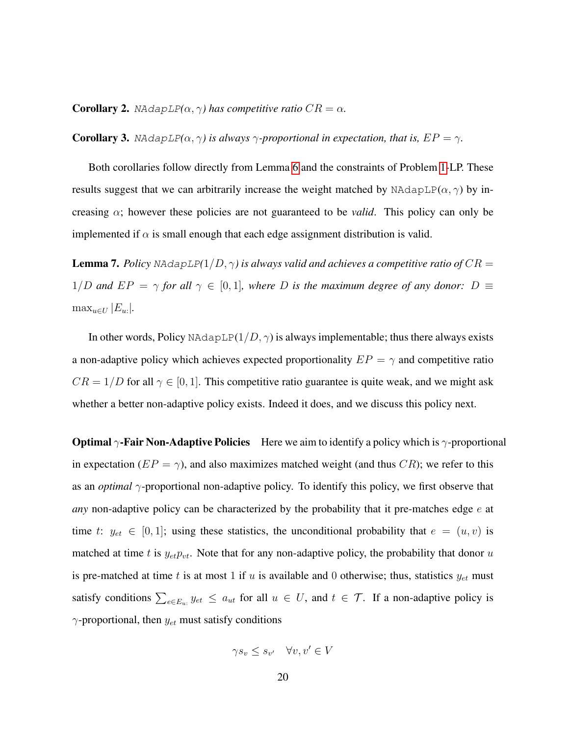<span id="page-19-1"></span>**Corollary 2.** NAdapLP( $\alpha$ ,  $\gamma$ ) has competitive ratio  $CR = \alpha$ .

**Corollary 3.** NAdapLP( $\alpha$ ,  $\gamma$ ) is always  $\gamma$ -proportional in expectation, that is,  $EP = \gamma$ .

Both corollaries follow directly from Lemma [6](#page-18-0) and the constraints of Problem [1-](#page-13-0)LP. These results suggest that we can arbitrarily increase the weight matched by NAdapLP( $\alpha$ ,  $\gamma$ ) by increasing  $\alpha$ ; however these policies are not guaranteed to be *valid*. This policy can only be implemented if  $\alpha$  is small enough that each edge assignment distribution is valid.

<span id="page-19-0"></span>**Lemma 7.** *Policy* NAdapLP( $1/D, \gamma$ ) is always valid and achieves a competitive ratio of  $CR =$ 1/D and  $EP = \gamma$  for all  $\gamma \in [0,1]$ , where D is the maximum degree of any donor: D  $\equiv$  $\max_{u \in U} |E_{u}:|.$ 

In other words, Policy NAdapLP( $1/D, \gamma$ ) is always implementable; thus there always exists a non-adaptive policy which achieves expected proportionality  $EP = \gamma$  and competitive ratio  $CR = 1/D$  for all  $\gamma \in [0, 1]$ . This competitive ratio guarantee is quite weak, and we might ask whether a better non-adaptive policy exists. Indeed it does, and we discuss this policy next.

**Optimal**  $\gamma$ **-Fair Non-Adaptive Policies** Here we aim to identify a policy which is  $\gamma$ -proportional in expectation ( $EP = \gamma$ ), and also maximizes matched weight (and thus CR); we refer to this as an *optimal* γ-proportional non-adaptive policy. To identify this policy, we first observe that *any* non-adaptive policy can be characterized by the probability that it pre-matches edge e at time t:  $y_{et} \in [0,1]$ ; using these statistics, the unconditional probability that  $e = (u, v)$  is matched at time t is  $y_{et}p_{vt}$ . Note that for any non-adaptive policy, the probability that donor u is pre-matched at time t is at most 1 if u is available and 0 otherwise; thus, statistics  $y_{et}$  must satisfy conditions  $\sum_{e \in E_u:} y_{et} \le a_{ut}$  for all  $u \in U$ , and  $t \in \mathcal{T}$ . If a non-adaptive policy is  $\gamma$ -proportional, then  $y_{et}$  must satisfy conditions

$$
\gamma s_v \le s_{v'} \quad \forall v, v' \in V
$$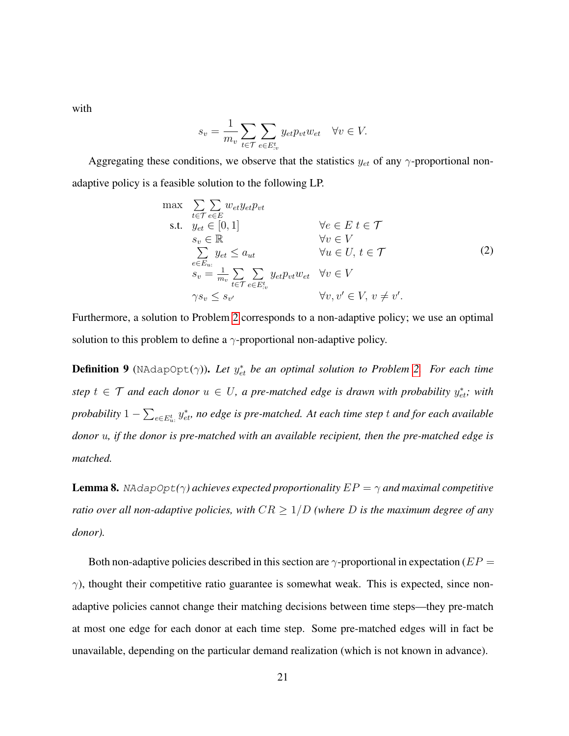with

$$
s_v = \frac{1}{m_v} \sum_{t \in \mathcal{T}} \sum_{e \in E^t_{\cdot v}} y_{et} p_{vt} w_{et} \quad \forall v \in V.
$$

Aggregating these conditions, we observe that the statistics  $y_{et}$  of any  $\gamma$ -proportional nonadaptive policy is a feasible solution to the following LP.

<span id="page-20-0"></span>
$$
\max \sum_{t \in \mathcal{T}} \sum_{e \in E} w_{et} y_{et} p_{vt}
$$
\n
$$
\text{s.t.} \quad y_{et} \in [0, 1] \qquad \forall e \in E \ t \in \mathcal{T}
$$
\n
$$
s_v \in \mathbb{R} \qquad \forall v \in V
$$
\n
$$
\sum_{e \in E_u} y_{et} \le a_{ut} \qquad \forall u \in U, t \in \mathcal{T}
$$
\n
$$
s_v = \frac{1}{m_v} \sum_{t \in \mathcal{T}} \sum_{e \in E_{iv}^t} y_{et} p_{vt} w_{et} \qquad \forall v \in V
$$
\n
$$
\gamma s_v \le s_{v'} \qquad \forall v, v' \in V, v \neq v'.
$$
\n
$$
(2)
$$

Furthermore, a solution to Problem [2](#page-20-0) corresponds to a non-adaptive policy; we use an optimal solution to this problem to define a  $\gamma$ -proportional non-adaptive policy.

**Definition 9** (NAdapOpt $(\gamma)$ ). Let  $y_{et}^*$  be an optimal solution to Problem [2.](#page-20-0) For each time  $step\ t \in \mathcal{T}$  and each donor  $u \in U$ , a pre-matched edge is drawn with probability  $y_{et}^*$ ; with probability  $1-\sum_{e\in E_u^t}y_{et}^*$  no edge is pre-matched. At each time step  $t$  and for each available *donor* u*, if the donor is pre-matched with an available recipient, then the pre-matched edge is matched.*

<span id="page-20-1"></span>**Lemma 8.** NAdapOpt( $\gamma$ ) achieves expected proportionality  $EP = \gamma$  and maximal competitive *ratio over all non-adaptive policies, with*  $CR \geq 1/D$  *(where D is the maximum degree of any donor).*

Both non-adaptive policies described in this section are  $\gamma$ -proportional in expectation ( $EP =$  $\gamma$ ), thought their competitive ratio guarantee is somewhat weak. This is expected, since nonadaptive policies cannot change their matching decisions between time steps—they pre-match at most one edge for each donor at each time step. Some pre-matched edges will in fact be unavailable, depending on the particular demand realization (which is not known in advance).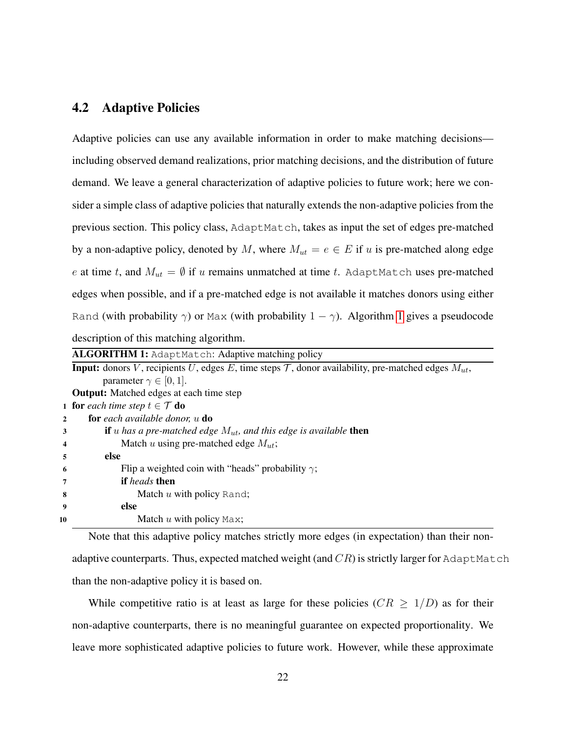### 4.2 Adaptive Policies

Adaptive policies can use any available information in order to make matching decisions including observed demand realizations, prior matching decisions, and the distribution of future demand. We leave a general characterization of adaptive policies to future work; here we consider a simple class of adaptive policies that naturally extends the non-adaptive policies from the previous section. This policy class, AdaptMatch, takes as input the set of edges pre-matched by a non-adaptive policy, denoted by M, where  $M_{ut} = e \in E$  if u is pre-matched along edge e at time t, and  $M_{ut} = \emptyset$  if u remains unmatched at time t. AdaptMatch uses pre-matched edges when possible, and if a pre-matched edge is not available it matches donors using either Rand (with probability  $\gamma$ ) or Max (with probability  $1 - \gamma$ ). Algorithm [1](#page-21-0) gives a pseudocode description of this matching algorithm.

|                | <b>ALGORITHM 1:</b> AdaptMatch: Adaptive matching policy                                                                   |  |  |  |  |  |  |
|----------------|----------------------------------------------------------------------------------------------------------------------------|--|--|--|--|--|--|
|                | <b>Input:</b> donors V, recipients U, edges E, time steps $\mathcal{T}$ , donor availability, pre-matched edges $M_{ut}$ , |  |  |  |  |  |  |
|                | parameter $\gamma \in [0, 1]$ .                                                                                            |  |  |  |  |  |  |
|                | <b>Output:</b> Matched edges at each time step                                                                             |  |  |  |  |  |  |
|                | <b>1</b> for each time step $t \in \mathcal{T}$ do                                                                         |  |  |  |  |  |  |
| $\overline{2}$ | <b>for</b> each available donor, $u$ <b>do</b>                                                                             |  |  |  |  |  |  |
| 3              | <b>if</b> u has a pre-matched edge $M_{ut}$ , and this edge is available <b>then</b>                                       |  |  |  |  |  |  |
| 4              | Match u using pre-matched edge $M_{ut}$ ;                                                                                  |  |  |  |  |  |  |
| 5              | else                                                                                                                       |  |  |  |  |  |  |
| 6              | Flip a weighted coin with "heads" probability $\gamma$ ;                                                                   |  |  |  |  |  |  |
| 7              | <b>if</b> heads then                                                                                                       |  |  |  |  |  |  |
| 8              | Match u with policy Rand;                                                                                                  |  |  |  |  |  |  |
| 9              | else                                                                                                                       |  |  |  |  |  |  |
| 10             | Match $u$ with policy Max;                                                                                                 |  |  |  |  |  |  |

<span id="page-21-0"></span>Note that this adaptive policy matches strictly more edges (in expectation) than their nonadaptive counterparts. Thus, expected matched weight (and  $CR$ ) is strictly larger for AdaptMatch than the non-adaptive policy it is based on.

While competitive ratio is at least as large for these policies ( $CR \geq 1/D$ ) as for their non-adaptive counterparts, there is no meaningful guarantee on expected proportionality. We leave more sophisticated adaptive policies to future work. However, while these approximate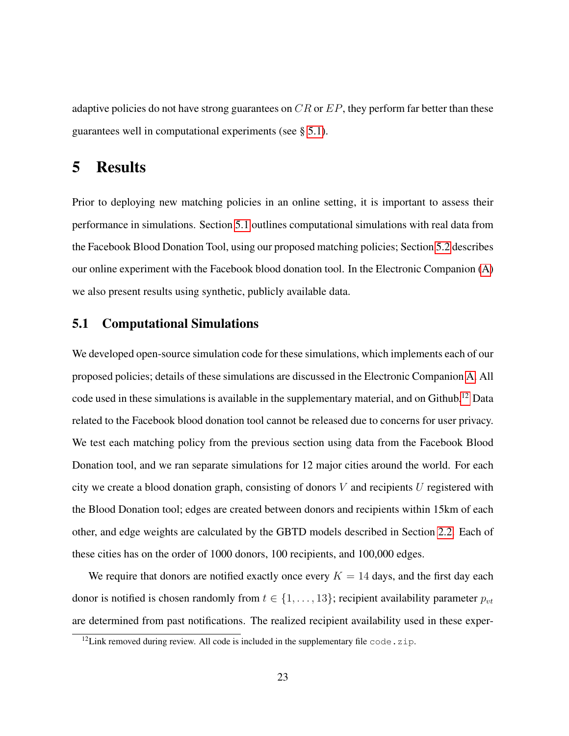adaptive policies do not have strong guarantees on  $CR$  or  $EP$ , they perform far better than these guarantees well in computational experiments (see § [5.1\)](#page-22-1).

# <span id="page-22-0"></span>5 Results

Prior to deploying new matching policies in an online setting, it is important to assess their performance in simulations. Section [5.1](#page-22-1) outlines computational simulations with real data from the Facebook Blood Donation Tool, using our proposed matching policies; Section [5.2](#page-25-0) describes our online experiment with the Facebook blood donation tool. In the Electronic Companion [\(A\)](#page-35-0) we also present results using synthetic, publicly available data.

### <span id="page-22-1"></span>5.1 Computational Simulations

We developed open-source simulation code for these simulations, which implements each of our proposed policies; details of these simulations are discussed in the Electronic Companion [A.](#page-35-0) All code used in these simulations is available in the supplementary material, and on Github.<sup>[12](#page-22-2)</sup> Data related to the Facebook blood donation tool cannot be released due to concerns for user privacy. We test each matching policy from the previous section using data from the Facebook Blood Donation tool, and we ran separate simulations for 12 major cities around the world. For each city we create a blood donation graph, consisting of donors  $V$  and recipients  $U$  registered with the Blood Donation tool; edges are created between donors and recipients within 15km of each other, and edge weights are calculated by the GBTD models described in Section [2.2.](#page-7-1) Each of these cities has on the order of 1000 donors, 100 recipients, and 100,000 edges.

We require that donors are notified exactly once every  $K = 14$  days, and the first day each donor is notified is chosen randomly from  $t \in \{1, \ldots, 13\}$ ; recipient availability parameter  $p_{vt}$ are determined from past notifications. The realized recipient availability used in these exper-

<span id="page-22-2"></span> $12$ Link removed during review. All code is included in the supplementary file code.zip.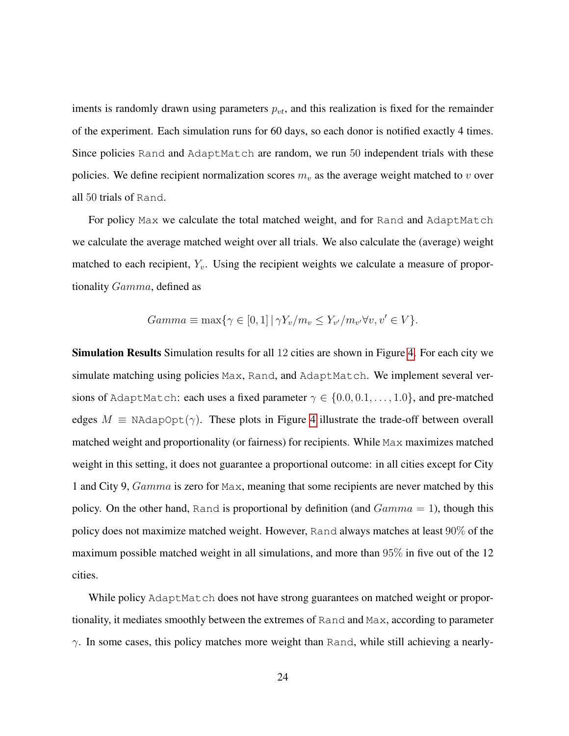iments is randomly drawn using parameters  $p_{vt}$ , and this realization is fixed for the remainder of the experiment. Each simulation runs for 60 days, so each donor is notified exactly 4 times. Since policies Rand and AdaptMatch are random, we run 50 independent trials with these policies. We define recipient normalization scores  $m<sub>v</sub>$  as the average weight matched to v over all 50 trials of Rand.

For policy Max we calculate the total matched weight, and for Rand and AdaptMatch we calculate the average matched weight over all trials. We also calculate the (average) weight matched to each recipient,  $Y_v$ . Using the recipient weights we calculate a measure of proportionality Gamma, defined as

$$
Gamma \equiv \max\{ \gamma \in [0,1] \, | \, \gamma Y_v / m_v \le Y_{v'} / m_{v'} \forall v, v' \in V \}.
$$

Simulation Results Simulation results for all 12 cities are shown in Figure [4.](#page-24-0) For each city we simulate matching using policies Max, Rand, and AdaptMatch. We implement several versions of AdaptMatch: each uses a fixed parameter  $\gamma \in \{0.0, 0.1, \ldots, 1.0\}$ , and pre-matched edges  $M \equiv N \text{AdapOpt}(\gamma)$ . These plots in Figure [4](#page-24-0) illustrate the trade-off between overall matched weight and proportionality (or fairness) for recipients. While Max maximizes matched weight in this setting, it does not guarantee a proportional outcome: in all cities except for City 1 and City 9, Gamma is zero for Max, meaning that some recipients are never matched by this policy. On the other hand, Rand is proportional by definition (and  $Gamma = 1$ ), though this policy does not maximize matched weight. However, Rand always matches at least 90% of the maximum possible matched weight in all simulations, and more than 95% in five out of the 12 cities.

While policy AdaptMatch does not have strong guarantees on matched weight or proportionality, it mediates smoothly between the extremes of Rand and Max, according to parameter  $\gamma$ . In some cases, this policy matches more weight than Rand, while still achieving a nearly-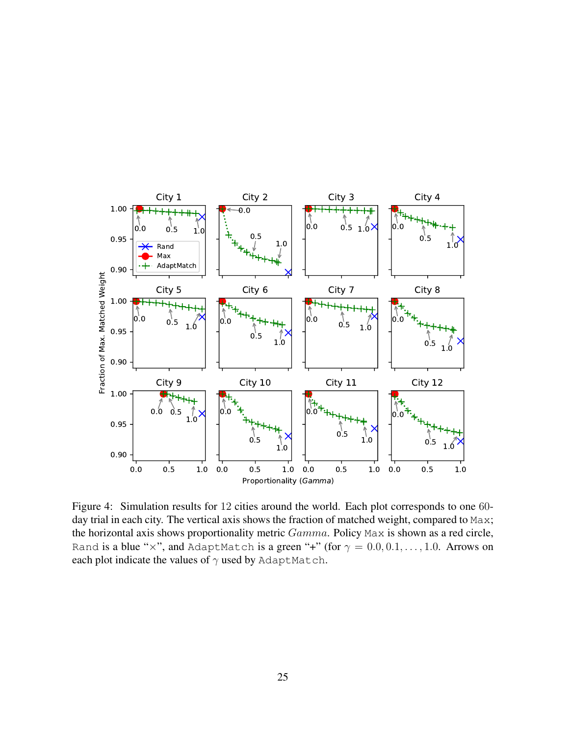<span id="page-24-0"></span>

Figure 4: Simulation results for 12 cities around the world. Each plot corresponds to one 60 day trial in each city. The vertical axis shows the fraction of matched weight, compared to Max; the horizontal axis shows proportionality metric  $Gamma$ . Policy Max is shown as a red circle, Rand is a blue "x", and AdaptMatch is a green "+" (for  $\gamma = 0.0, 0.1, \ldots, 1.0$ . Arrows on each plot indicate the values of  $\gamma$  used by AdaptMatch.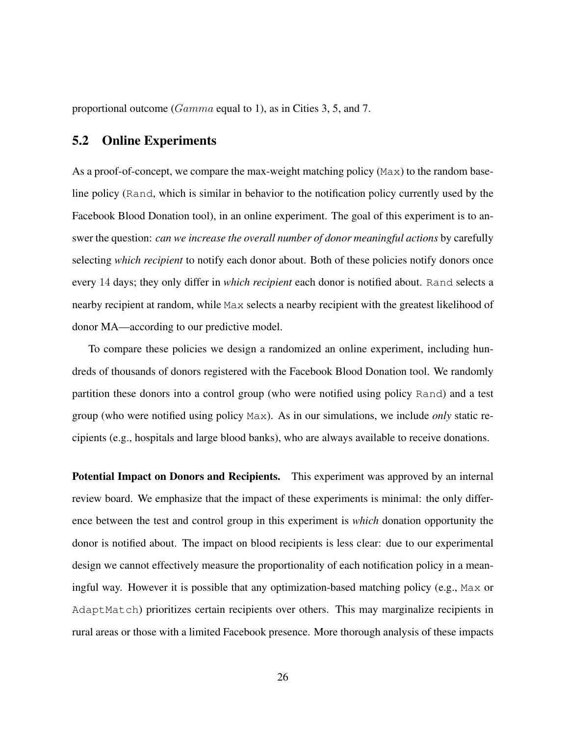proportional outcome (Gamma equal to 1), as in Cities 3, 5, and 7.

#### <span id="page-25-0"></span>5.2 Online Experiments

As a proof-of-concept, we compare the max-weight matching policy ( $Max$ ) to the random baseline policy (Rand, which is similar in behavior to the notification policy currently used by the Facebook Blood Donation tool), in an online experiment. The goal of this experiment is to answer the question: *can we increase the overall number of donor meaningful actions* by carefully selecting *which recipient* to notify each donor about. Both of these policies notify donors once every 14 days; they only differ in *which recipient* each donor is notified about. Rand selects a nearby recipient at random, while Max selects a nearby recipient with the greatest likelihood of donor MA—according to our predictive model.

To compare these policies we design a randomized an online experiment, including hundreds of thousands of donors registered with the Facebook Blood Donation tool. We randomly partition these donors into a control group (who were notified using policy Rand) and a test group (who were notified using policy Max). As in our simulations, we include *only* static recipients (e.g., hospitals and large blood banks), who are always available to receive donations.

Potential Impact on Donors and Recipients. This experiment was approved by an internal review board. We emphasize that the impact of these experiments is minimal: the only difference between the test and control group in this experiment is *which* donation opportunity the donor is notified about. The impact on blood recipients is less clear: due to our experimental design we cannot effectively measure the proportionality of each notification policy in a meaningful way. However it is possible that any optimization-based matching policy (e.g., Max or AdaptMatch) prioritizes certain recipients over others. This may marginalize recipients in rural areas or those with a limited Facebook presence. More thorough analysis of these impacts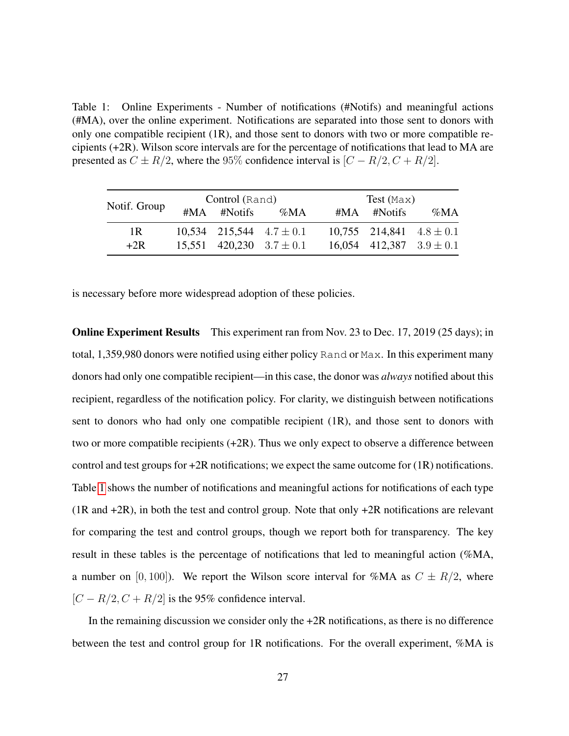<span id="page-26-0"></span>Table 1: Online Experiments - Number of notifications (#Notifs) and meaningful actions (#MA), over the online experiment. Notifications are separated into those sent to donors with only one compatible recipient (1R), and those sent to donors with two or more compatible recipients (+2R). Wilson score intervals are for the percentage of notifications that lead to MA are presented as  $C \pm R/2$ , where the 95% confidence interval is  $[C - R/2, C + R/2]$ .

|              | Control (Rand) |                   |                                | $Test$ (Max) |                   |                                |
|--------------|----------------|-------------------|--------------------------------|--------------|-------------------|--------------------------------|
| Notif. Group |                | $\#MA$ $\#Notifs$ | $\%MA$                         |              | $\#MA$ $\#Notifs$ | $\%MA$                         |
| 1R           |                |                   | $10,534$ 215,544 $4.7 \pm 0.1$ |              |                   | $10,755$ 214,841 $4.8 \pm 0.1$ |
| $+2R$        |                |                   | 15,551 420,230 $3.7 \pm 0.1$   |              |                   | 16,054 412,387 $3.9 \pm 0.1$   |

is necessary before more widespread adoption of these policies.

Online Experiment Results This experiment ran from Nov. 23 to Dec. 17, 2019 (25 days); in total, 1,359,980 donors were notified using either policy Rand or Max. In this experiment many donors had only one compatible recipient—in this case, the donor was *always* notified about this recipient, regardless of the notification policy. For clarity, we distinguish between notifications sent to donors who had only one compatible recipient (1R), and those sent to donors with two or more compatible recipients (+2R). Thus we only expect to observe a difference between control and test groups for  $+2R$  notifications; we expect the same outcome for  $(1R)$  notifications. Table [1](#page-26-0) shows the number of notifications and meaningful actions for notifications of each type  $(1R \text{ and } +2R)$ , in both the test and control group. Note that only  $+2R$  notifications are relevant for comparing the test and control groups, though we report both for transparency. The key result in these tables is the percentage of notifications that led to meaningful action (%MA, a number on [0, 100]). We report the Wilson score interval for %MA as  $C \pm R/2$ , where  $[C - R/2, C + R/2]$  is the 95% confidence interval.

In the remaining discussion we consider only the  $+2R$  notifications, as there is no difference between the test and control group for 1R notifications. For the overall experiment, %MA is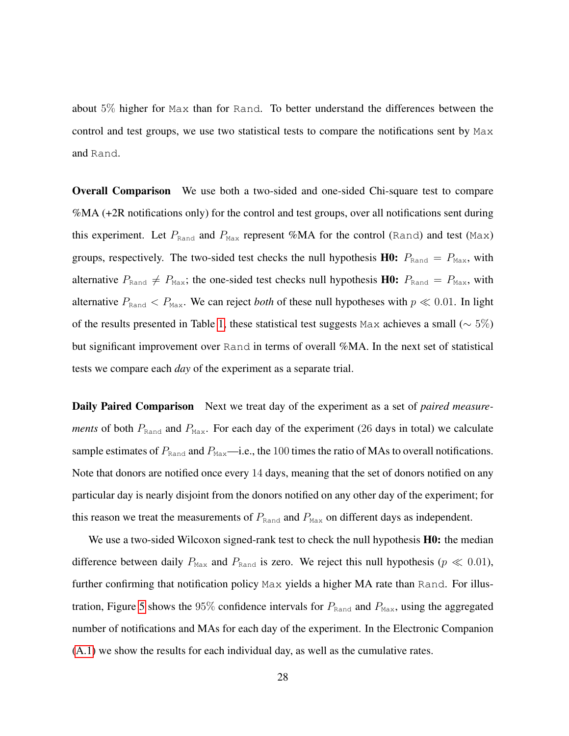about 5% higher for Max than for Rand. To better understand the differences between the control and test groups, we use two statistical tests to compare the notifications sent by Max and Rand.

Overall Comparison We use both a two-sided and one-sided Chi-square test to compare %MA (+2R notifications only) for the control and test groups, over all notifications sent during this experiment. Let  $P_{\text{Rand}}$  and  $P_{\text{Max}}$  represent %MA for the control (Rand) and test (Max) groups, respectively. The two-sided test checks the null hypothesis **H0:**  $P_{\text{Rand}} = P_{\text{Max}}$ , with alternative  $P_{\text{Rand}} \neq P_{\text{Max}}$ ; the one-sided test checks null hypothesis H0:  $P_{\text{Rand}} = P_{\text{Max}}$ , with alternative  $P_{\text{Rand}} < P_{\text{Max}}$ . We can reject *both* of these null hypotheses with  $p \ll 0.01$ . In light of the results presented in Table [1,](#page-26-0) these statistical test suggests Max achieves a small ( $\sim$  5%) but significant improvement over Rand in terms of overall %MA. In the next set of statistical tests we compare each *day* of the experiment as a separate trial.

Daily Paired Comparison Next we treat day of the experiment as a set of *paired measurements* of both  $P_{\text{Rand}}$  and  $P_{\text{Max}}$ . For each day of the experiment (26 days in total) we calculate sample estimates of  $P_{\text{Rand}}$  and  $P_{\text{Max}}$ —i.e., the 100 times the ratio of MAs to overall notifications. Note that donors are notified once every 14 days, meaning that the set of donors notified on any particular day is nearly disjoint from the donors notified on any other day of the experiment; for this reason we treat the measurements of  $P_{\text{Rand}}$  and  $P_{\text{Max}}$  on different days as independent.

We use a two-sided Wilcoxon signed-rank test to check the null hypothesis **H0:** the median difference between daily  $P_{\text{Max}}$  and  $P_{\text{Rand}}$  is zero. We reject this null hypothesis ( $p \ll 0.01$ ), further confirming that notification policy Max yields a higher MA rate than Rand. For illus-tration, Figure [5](#page-28-0) shows the 95% confidence intervals for  $P_{\text{Rand}}$  and  $P_{\text{Max}}$ , using the aggregated number of notifications and MAs for each day of the experiment. In the Electronic Companion [\(A.1\)](#page-38-0) we show the results for each individual day, as well as the cumulative rates.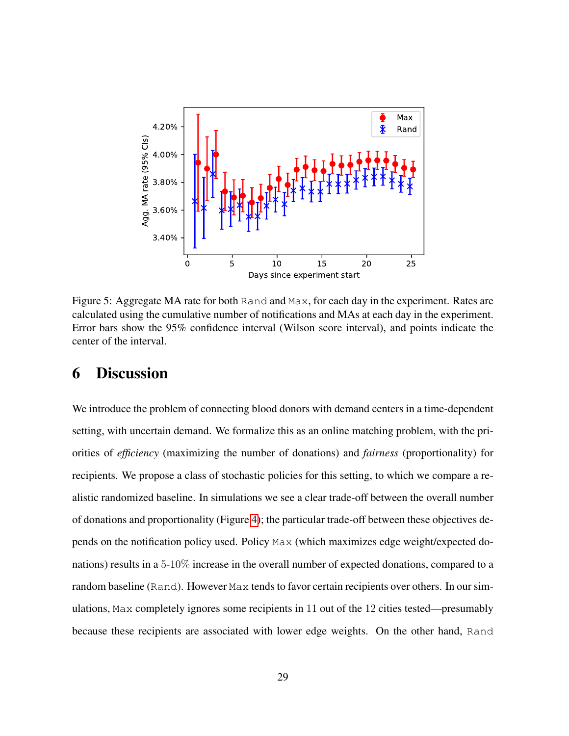<span id="page-28-0"></span>

Figure 5: Aggregate MA rate for both Rand and Max, for each day in the experiment. Rates are calculated using the cumulative number of notifications and MAs at each day in the experiment. Error bars show the 95% confidence interval (Wilson score interval), and points indicate the center of the interval.

# 6 Discussion

We introduce the problem of connecting blood donors with demand centers in a time-dependent setting, with uncertain demand. We formalize this as an online matching problem, with the priorities of *efficiency* (maximizing the number of donations) and *fairness* (proportionality) for recipients. We propose a class of stochastic policies for this setting, to which we compare a realistic randomized baseline. In simulations we see a clear trade-off between the overall number of donations and proportionality (Figure [4\)](#page-24-0); the particular trade-off between these objectives depends on the notification policy used. Policy Max (which maximizes edge weight/expected donations) results in a 5-10% increase in the overall number of expected donations, compared to a random baseline (Rand). However Max tends to favor certain recipients over others. In our simulations, Max completely ignores some recipients in 11 out of the 12 cities tested—presumably because these recipients are associated with lower edge weights. On the other hand, Rand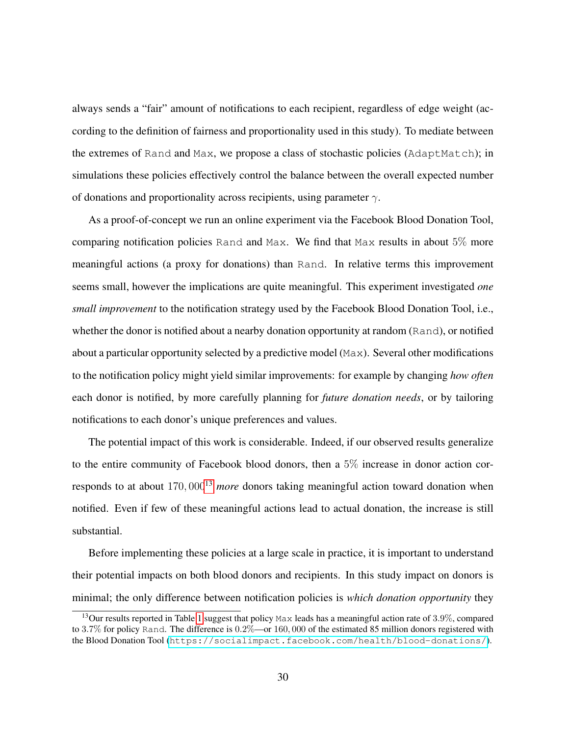always sends a "fair" amount of notifications to each recipient, regardless of edge weight (according to the definition of fairness and proportionality used in this study). To mediate between the extremes of Rand and Max, we propose a class of stochastic policies (AdaptMatch); in simulations these policies effectively control the balance between the overall expected number of donations and proportionality across recipients, using parameter  $\gamma$ .

As a proof-of-concept we run an online experiment via the Facebook Blood Donation Tool, comparing notification policies Rand and Max. We find that Max results in about 5% more meaningful actions (a proxy for donations) than Rand. In relative terms this improvement seems small, however the implications are quite meaningful. This experiment investigated *one small improvement* to the notification strategy used by the Facebook Blood Donation Tool, i.e., whether the donor is notified about a nearby donation opportunity at random (Rand), or notified about a particular opportunity selected by a predictive model ( $Max$ ). Several other modifications to the notification policy might yield similar improvements: for example by changing *how often* each donor is notified, by more carefully planning for *future donation needs*, or by tailoring notifications to each donor's unique preferences and values.

The potential impact of this work is considerable. Indeed, if our observed results generalize to the entire community of Facebook blood donors, then a 5% increase in donor action cor-responds to at about 170, 000<sup>[13](#page-29-0)</sup> *more* donors taking meaningful action toward donation when notified. Even if few of these meaningful actions lead to actual donation, the increase is still substantial.

Before implementing these policies at a large scale in practice, it is important to understand their potential impacts on both blood donors and recipients. In this study impact on donors is minimal; the only difference between notification policies is *which donation opportunity* they

<span id="page-29-0"></span><sup>&</sup>lt;sup>13</sup>Our results reported in Table [1](#page-26-0) suggest that policy Max leads has a meaningful action rate of 3.9%, compared to 3.7% for policy Rand. The difference is  $0.2\%$ —or 160,000 of the estimated 85 million donors registered with the Blood Donation Tool (<https://socialimpact.facebook.com/health/blood-donations/>).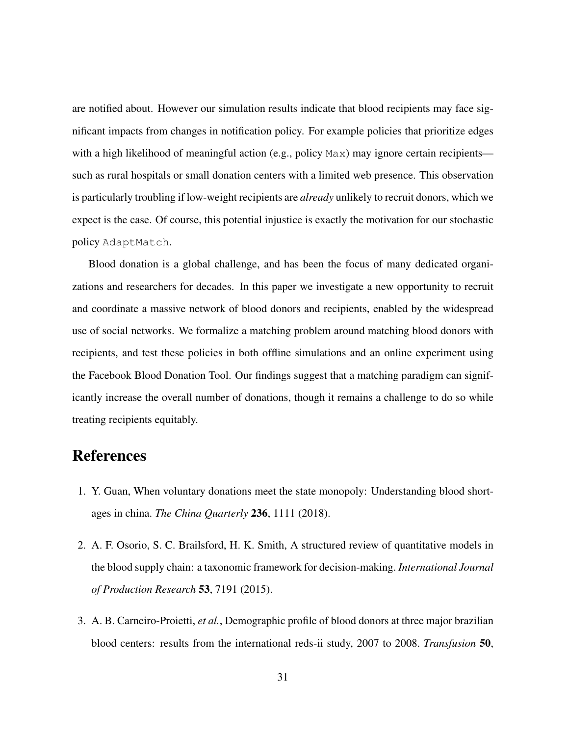are notified about. However our simulation results indicate that blood recipients may face significant impacts from changes in notification policy. For example policies that prioritize edges with a high likelihood of meaningful action (e.g., policy Max) may ignore certain recipients such as rural hospitals or small donation centers with a limited web presence. This observation is particularly troubling if low-weight recipients are *already* unlikely to recruit donors, which we expect is the case. Of course, this potential injustice is exactly the motivation for our stochastic policy AdaptMatch.

Blood donation is a global challenge, and has been the focus of many dedicated organizations and researchers for decades. In this paper we investigate a new opportunity to recruit and coordinate a massive network of blood donors and recipients, enabled by the widespread use of social networks. We formalize a matching problem around matching blood donors with recipients, and test these policies in both offline simulations and an online experiment using the Facebook Blood Donation Tool. Our findings suggest that a matching paradigm can significantly increase the overall number of donations, though it remains a challenge to do so while treating recipients equitably.

# References

- 1. Y. Guan, When voluntary donations meet the state monopoly: Understanding blood shortages in china. *The China Quarterly* 236, 1111 (2018).
- 2. A. F. Osorio, S. C. Brailsford, H. K. Smith, A structured review of quantitative models in the blood supply chain: a taxonomic framework for decision-making. *International Journal of Production Research* 53, 7191 (2015).
- 3. A. B. Carneiro-Proietti, *et al.*, Demographic profile of blood donors at three major brazilian blood centers: results from the international reds-ii study, 2007 to 2008. *Transfusion* 50,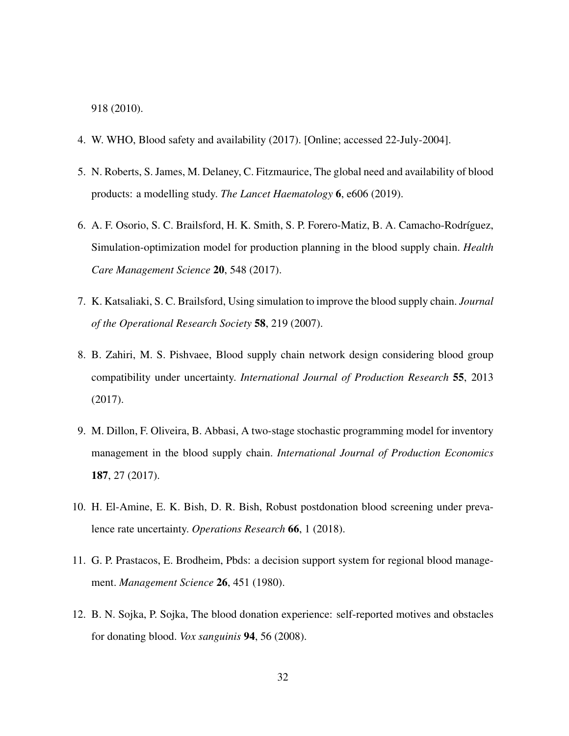918 (2010).

- 4. W. WHO, Blood safety and availability (2017). [Online; accessed 22-July-2004].
- 5. N. Roberts, S. James, M. Delaney, C. Fitzmaurice, The global need and availability of blood products: a modelling study. *The Lancet Haematology* 6, e606 (2019).
- 6. A. F. Osorio, S. C. Brailsford, H. K. Smith, S. P. Forero-Matiz, B. A. Camacho-Rodríguez, Simulation-optimization model for production planning in the blood supply chain. *Health Care Management Science* 20, 548 (2017).
- 7. K. Katsaliaki, S. C. Brailsford, Using simulation to improve the blood supply chain. *Journal of the Operational Research Society* 58, 219 (2007).
- 8. B. Zahiri, M. S. Pishvaee, Blood supply chain network design considering blood group compatibility under uncertainty. *International Journal of Production Research* 55, 2013 (2017).
- 9. M. Dillon, F. Oliveira, B. Abbasi, A two-stage stochastic programming model for inventory management in the blood supply chain. *International Journal of Production Economics* 187, 27 (2017).
- 10. H. El-Amine, E. K. Bish, D. R. Bish, Robust postdonation blood screening under prevalence rate uncertainty. *Operations Research* 66, 1 (2018).
- 11. G. P. Prastacos, E. Brodheim, Pbds: a decision support system for regional blood management. *Management Science* 26, 451 (1980).
- 12. B. N. Sojka, P. Sojka, The blood donation experience: self-reported motives and obstacles for donating blood. *Vox sanguinis* 94, 56 (2008).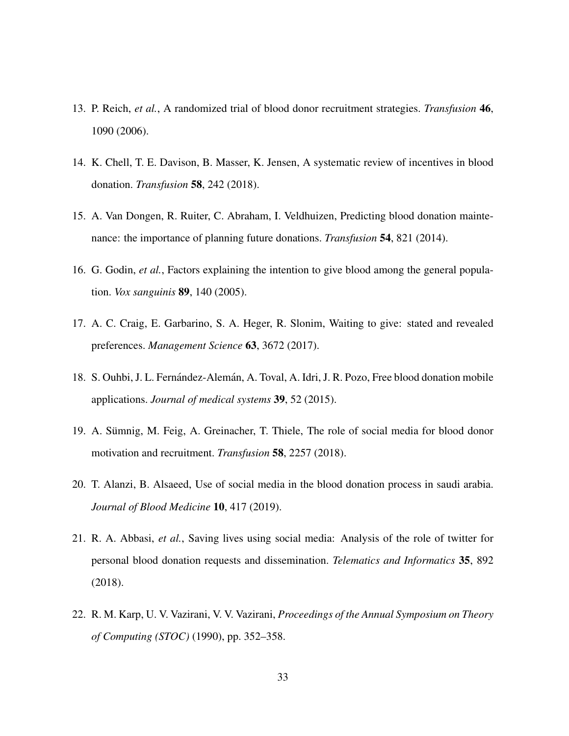- 13. P. Reich, *et al.*, A randomized trial of blood donor recruitment strategies. *Transfusion* 46, 1090 (2006).
- 14. K. Chell, T. E. Davison, B. Masser, K. Jensen, A systematic review of incentives in blood donation. *Transfusion* 58, 242 (2018).
- 15. A. Van Dongen, R. Ruiter, C. Abraham, I. Veldhuizen, Predicting blood donation maintenance: the importance of planning future donations. *Transfusion* 54, 821 (2014).
- 16. G. Godin, *et al.*, Factors explaining the intention to give blood among the general population. *Vox sanguinis* 89, 140 (2005).
- 17. A. C. Craig, E. Garbarino, S. A. Heger, R. Slonim, Waiting to give: stated and revealed preferences. *Management Science* 63, 3672 (2017).
- 18. S. Ouhbi, J. L. Fernández-Alemán, A. Toval, A. Idri, J. R. Pozo, Free blood donation mobile applications. *Journal of medical systems* 39, 52 (2015).
- 19. A. Sümnig, M. Feig, A. Greinacher, T. Thiele, The role of social media for blood donor motivation and recruitment. *Transfusion* 58, 2257 (2018).
- 20. T. Alanzi, B. Alsaeed, Use of social media in the blood donation process in saudi arabia. *Journal of Blood Medicine* 10, 417 (2019).
- 21. R. A. Abbasi, *et al.*, Saving lives using social media: Analysis of the role of twitter for personal blood donation requests and dissemination. *Telematics and Informatics* 35, 892 (2018).
- 22. R. M. Karp, U. V. Vazirani, V. V. Vazirani, *Proceedings of the Annual Symposium on Theory of Computing (STOC)* (1990), pp. 352–358.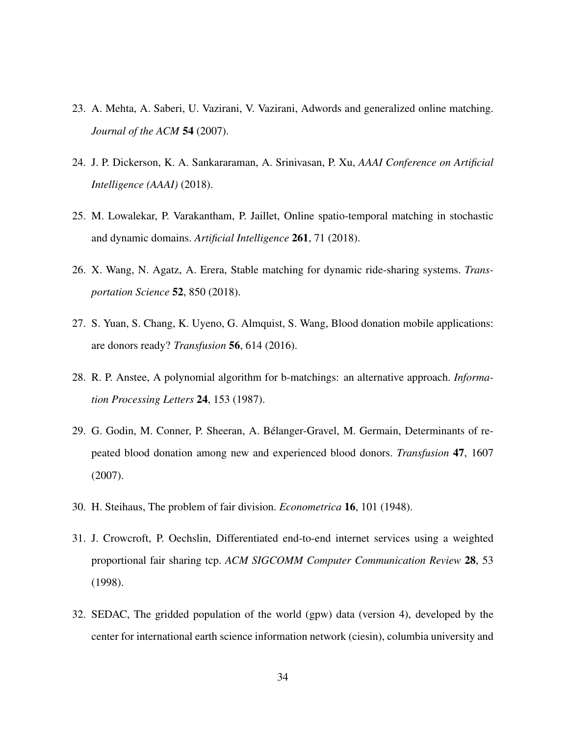- 23. A. Mehta, A. Saberi, U. Vazirani, V. Vazirani, Adwords and generalized online matching. *Journal of the ACM* 54 (2007).
- 24. J. P. Dickerson, K. A. Sankararaman, A. Srinivasan, P. Xu, *AAAI Conference on Artificial Intelligence (AAAI)* (2018).
- 25. M. Lowalekar, P. Varakantham, P. Jaillet, Online spatio-temporal matching in stochastic and dynamic domains. *Artificial Intelligence* 261, 71 (2018).
- 26. X. Wang, N. Agatz, A. Erera, Stable matching for dynamic ride-sharing systems. *Transportation Science* 52, 850 (2018).
- 27. S. Yuan, S. Chang, K. Uyeno, G. Almquist, S. Wang, Blood donation mobile applications: are donors ready? *Transfusion* 56, 614 (2016).
- 28. R. P. Anstee, A polynomial algorithm for b-matchings: an alternative approach. *Information Processing Letters* 24, 153 (1987).
- 29. G. Godin, M. Conner, P. Sheeran, A. Belanger-Gravel, M. Germain, Determinants of re- ´ peated blood donation among new and experienced blood donors. *Transfusion* 47, 1607 (2007).
- 30. H. Steihaus, The problem of fair division. *Econometrica* 16, 101 (1948).
- 31. J. Crowcroft, P. Oechslin, Differentiated end-to-end internet services using a weighted proportional fair sharing tcp. *ACM SIGCOMM Computer Communication Review* 28, 53 (1998).
- 32. SEDAC, The gridded population of the world (gpw) data (version 4), developed by the center for international earth science information network (ciesin), columbia university and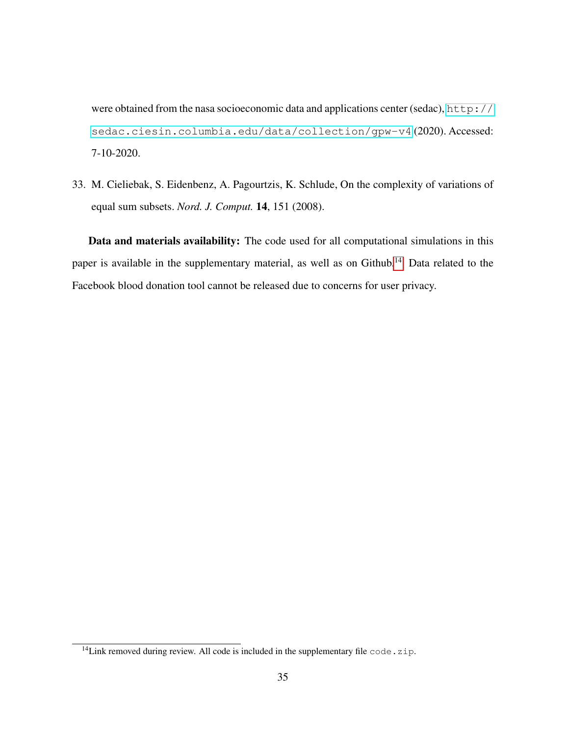were obtained from the nasa socioeconomic data and applications center (sedac), [http://](http://sedac.ciesin.columbia.edu/data/collection/gpw-v4) [sedac.ciesin.columbia.edu/data/collection/gpw-v4](http://sedac.ciesin.columbia.edu/data/collection/gpw-v4) (2020). Accessed: 7-10-2020.

33. M. Cieliebak, S. Eidenbenz, A. Pagourtzis, K. Schlude, On the complexity of variations of equal sum subsets. *Nord. J. Comput.* 14, 151 (2008).

Data and materials availability: The code used for all computational simulations in this paper is available in the supplementary material, as well as on Github.<sup>[14](#page-34-0)</sup> Data related to the Facebook blood donation tool cannot be released due to concerns for user privacy.

<span id="page-34-0"></span> $14$ Link removed during review. All code is included in the supplementary file code.zip.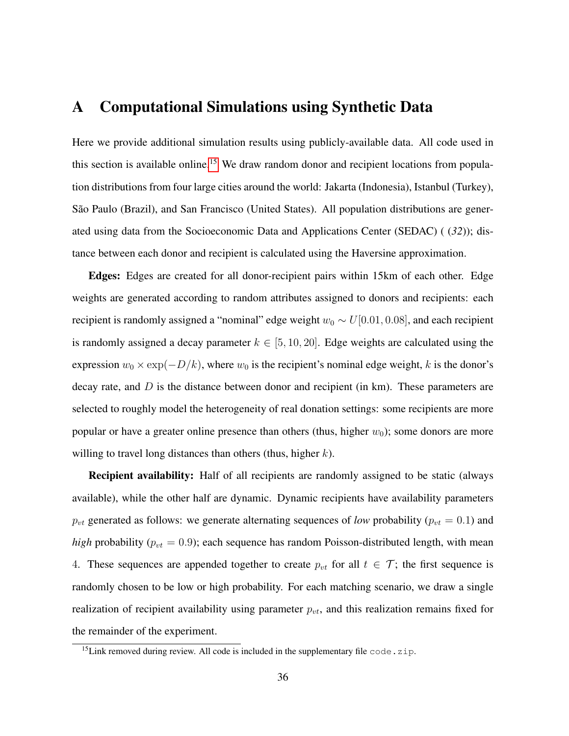### <span id="page-35-0"></span>A Computational Simulations using Synthetic Data

Here we provide additional simulation results using publicly-available data. All code used in this section is available online.<sup>[15](#page-35-1)</sup> We draw random donor and recipient locations from population distributions from four large cities around the world: Jakarta (Indonesia), Istanbul (Turkey), São Paulo (Brazil), and San Francisco (United States). All population distributions are generated using data from the Socioeconomic Data and Applications Center (SEDAC) ( (*32*)); distance between each donor and recipient is calculated using the Haversine approximation.

Edges: Edges are created for all donor-recipient pairs within 15km of each other. Edge weights are generated according to random attributes assigned to donors and recipients: each recipient is randomly assigned a "nominal" edge weight  $w_0 \sim U[0.01, 0.08]$ , and each recipient is randomly assigned a decay parameter  $k \in [5, 10, 20]$ . Edge weights are calculated using the expression  $w_0 \times \exp(-D/k)$ , where  $w_0$  is the recipient's nominal edge weight, k is the donor's decay rate, and  $D$  is the distance between donor and recipient (in km). These parameters are selected to roughly model the heterogeneity of real donation settings: some recipients are more popular or have a greater online presence than others (thus, higher  $w_0$ ); some donors are more willing to travel long distances than others (thus, higher  $k$ ).

**Recipient availability:** Half of all recipients are randomly assigned to be static (always available), while the other half are dynamic. Dynamic recipients have availability parameters  $p_{vt}$  generated as follows: we generate alternating sequences of *low* probability ( $p_{vt} = 0.1$ ) and *high* probability ( $p_{vt} = 0.9$ ); each sequence has random Poisson-distributed length, with mean 4. These sequences are appended together to create  $p_{vt}$  for all  $t \in \mathcal{T}$ ; the first sequence is randomly chosen to be low or high probability. For each matching scenario, we draw a single realization of recipient availability using parameter  $p_{vt}$ , and this realization remains fixed for the remainder of the experiment.

<span id="page-35-1"></span><sup>&</sup>lt;sup>15</sup>Link removed during review. All code is included in the supplementary file  $\c{code.zip}$ .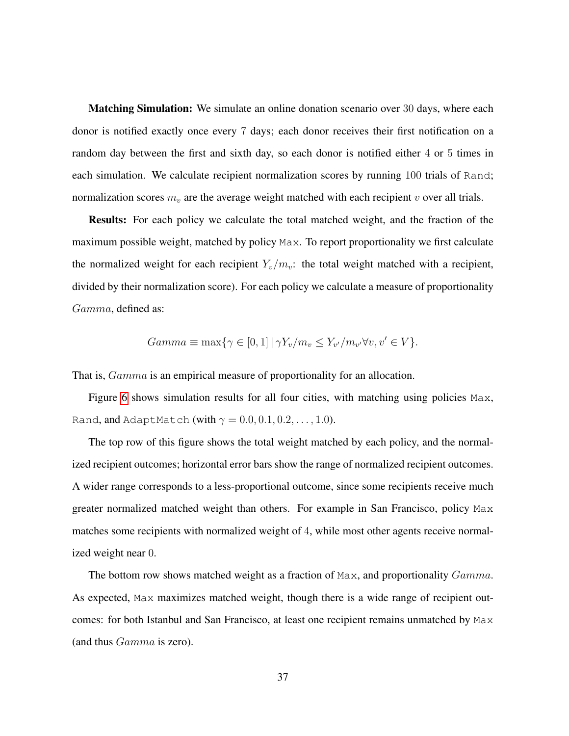Matching Simulation: We simulate an online donation scenario over 30 days, where each donor is notified exactly once every 7 days; each donor receives their first notification on a random day between the first and sixth day, so each donor is notified either 4 or 5 times in each simulation. We calculate recipient normalization scores by running 100 trials of Rand; normalization scores  $m_v$  are the average weight matched with each recipient v over all trials.

Results: For each policy we calculate the total matched weight, and the fraction of the maximum possible weight, matched by policy Max. To report proportionality we first calculate the normalized weight for each recipient  $Y_v/m_v$ : the total weight matched with a recipient, divided by their normalization score). For each policy we calculate a measure of proportionality Gamma, defined as:

$$
Gamma \equiv \max\{ \gamma \in [0,1] \, | \, \gamma Y_v / m_v \le Y_{v'} / m_{v'} \forall v, v' \in V \}.
$$

That is,  $Gamma$  is an empirical measure of proportionality for an allocation.

Figure [6](#page-37-0) shows simulation results for all four cities, with matching using policies Max, Rand, and AdaptMatch (with  $\gamma = 0.0, 0.1, 0.2, \ldots, 1.0$ ).

The top row of this figure shows the total weight matched by each policy, and the normalized recipient outcomes; horizontal error bars show the range of normalized recipient outcomes. A wider range corresponds to a less-proportional outcome, since some recipients receive much greater normalized matched weight than others. For example in San Francisco, policy Max matches some recipients with normalized weight of 4, while most other agents receive normalized weight near 0.

The bottom row shows matched weight as a fraction of Max, and proportionality  $Gamma$ . As expected, Max maximizes matched weight, though there is a wide range of recipient outcomes: for both Istanbul and San Francisco, at least one recipient remains unmatched by Max (and thus Gamma is zero).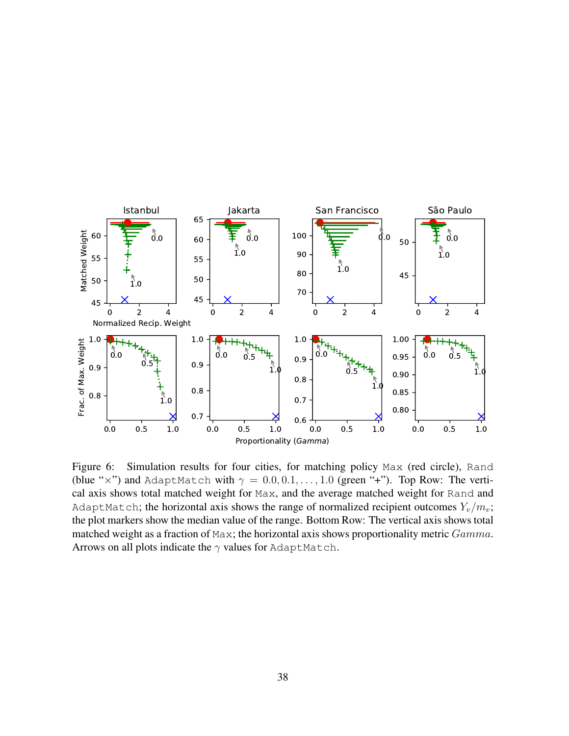<span id="page-37-0"></span>

Figure 6: Simulation results for four cities, for matching policy Max (red circle), Rand (blue "x") and AdaptMatch with  $\gamma = 0.0, 0.1, \ldots, 1.0$  (green "+"). Top Row: The vertical axis shows total matched weight for Max, and the average matched weight for Rand and AdaptMatch; the horizontal axis shows the range of normalized recipient outcomes  $Y_v/m_v$ ; the plot markers show the median value of the range. Bottom Row: The vertical axis shows total matched weight as a fraction of Max; the horizontal axis shows proportionality metric Gamma. Arrows on all plots indicate the  $\gamma$  values for AdaptMatch.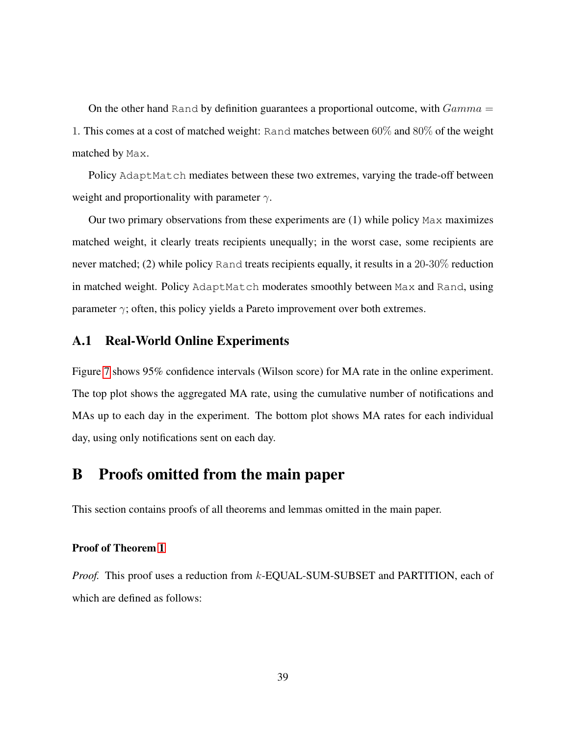On the other hand Rand by definition guarantees a proportional outcome, with  $Gamma =$ 1. This comes at a cost of matched weight: Rand matches between 60% and 80% of the weight matched by Max.

Policy AdaptMatch mediates between these two extremes, varying the trade-off between weight and proportionality with parameter  $\gamma$ .

Our two primary observations from these experiments are (1) while policy Max maximizes matched weight, it clearly treats recipients unequally; in the worst case, some recipients are never matched; (2) while policy Rand treats recipients equally, it results in a 20-30% reduction in matched weight. Policy AdaptMatch moderates smoothly between Max and Rand, using parameter  $\gamma$ ; often, this policy yields a Pareto improvement over both extremes.

#### <span id="page-38-0"></span>A.1 Real-World Online Experiments

Figure [7](#page-39-0) shows 95% confidence intervals (Wilson score) for MA rate in the online experiment. The top plot shows the aggregated MA rate, using the cumulative number of notifications and MAs up to each day in the experiment. The bottom plot shows MA rates for each individual day, using only notifications sent on each day.

### B Proofs omitted from the main paper

This section contains proofs of all theorems and lemmas omitted in the main paper.

#### Proof of Theorem [1](#page-12-0)

*Proof.* This proof uses a reduction from k-EQUAL-SUM-SUBSET and PARTITION, each of which are defined as follows: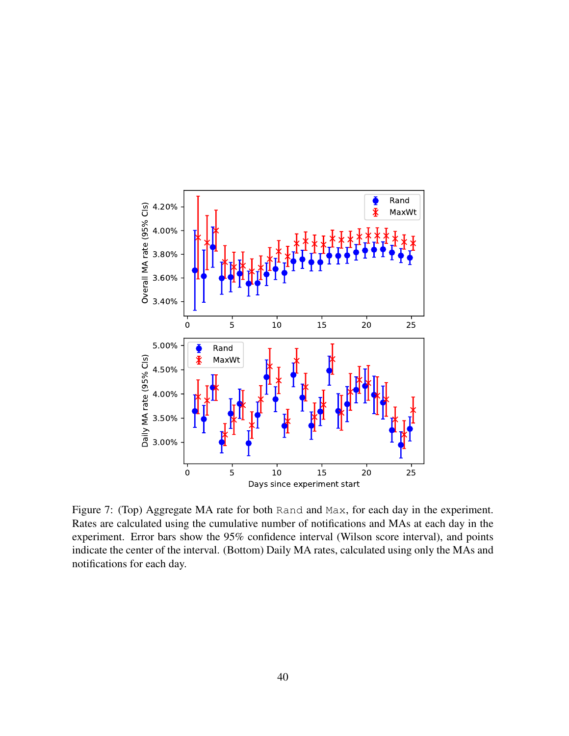<span id="page-39-0"></span>

Figure 7: (Top) Aggregate MA rate for both Rand and Max, for each day in the experiment. Rates are calculated using the cumulative number of notifications and MAs at each day in the experiment. Error bars show the 95% confidence interval (Wilson score interval), and points indicate the center of the interval. (Bottom) Daily MA rates, calculated using only the MAs and notifications for each day.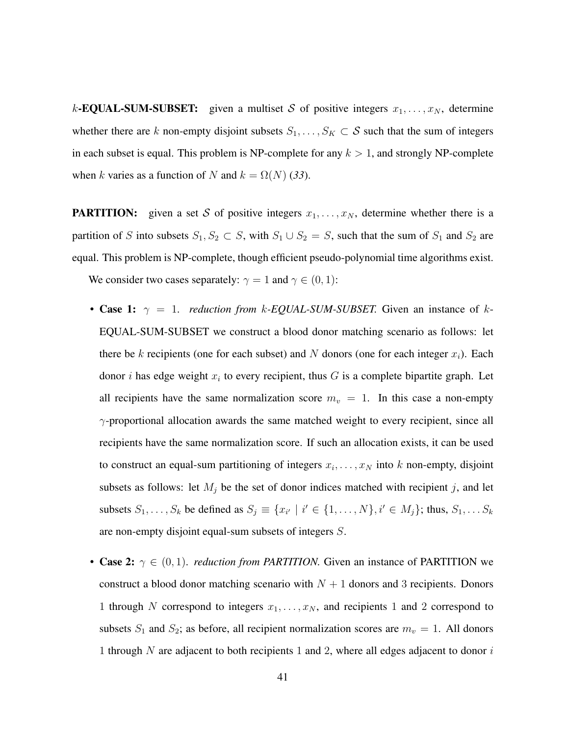k-**EQUAL-SUM-SUBSET:** given a multiset S of positive integers  $x_1, \ldots, x_N$ , determine whether there are k non-empty disjoint subsets  $S_1, \ldots, S_K \subset S$  such that the sum of integers in each subset is equal. This problem is NP-complete for any  $k > 1$ , and strongly NP-complete when k varies as a function of N and  $k = \Omega(N)$  (33).

**PARTITION:** given a set S of positive integers  $x_1, \ldots, x_N$ , determine whether there is a partition of S into subsets  $S_1, S_2 \subset S$ , with  $S_1 \cup S_2 = S$ , such that the sum of  $S_1$  and  $S_2$  are equal. This problem is NP-complete, though efficient pseudo-polynomial time algorithms exist. We consider two cases separately:  $\gamma = 1$  and  $\gamma \in (0, 1)$ :

- **Case 1:**  $\gamma = 1$ . *reduction from k-EQUAL-SUM-SUBSET*. Given an instance of k-EQUAL-SUM-SUBSET we construct a blood donor matching scenario as follows: let there be k recipients (one for each subset) and N donors (one for each integer  $x_i$ ). Each donor *i* has edge weight  $x_i$  to every recipient, thus G is a complete bipartite graph. Let all recipients have the same normalization score  $m_v = 1$ . In this case a non-empty  $\gamma$ -proportional allocation awards the same matched weight to every recipient, since all recipients have the same normalization score. If such an allocation exists, it can be used to construct an equal-sum partitioning of integers  $x_i, \ldots, x_N$  into k non-empty, disjoint subsets as follows: let  $M_j$  be the set of donor indices matched with recipient j, and let subsets  $S_1, \ldots, S_k$  be defined as  $S_j \equiv \{x_{i'} \mid i' \in \{1, \ldots, N\}, i' \in M_j\}$ ; thus,  $S_1, \ldots, S_k$ are non-empty disjoint equal-sum subsets of integers S.
- Case 2:  $\gamma \in (0, 1)$ . *reduction from PARTITION*. Given an instance of PARTITION we construct a blood donor matching scenario with  $N + 1$  donors and 3 recipients. Donors 1 through N correspond to integers  $x_1, \ldots, x_N$ , and recipients 1 and 2 correspond to subsets  $S_1$  and  $S_2$ ; as before, all recipient normalization scores are  $m_v = 1$ . All donors 1 through  $N$  are adjacent to both recipients 1 and 2, where all edges adjacent to donor  $i$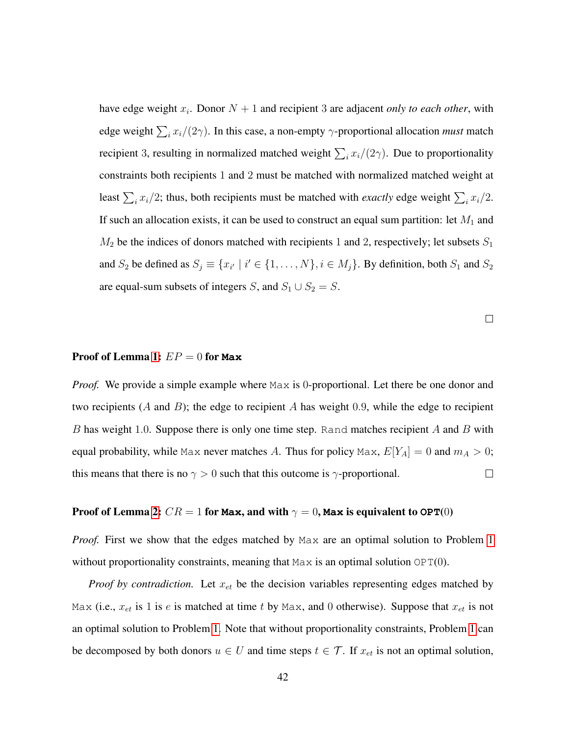have edge weight  $x_i$ . Donor  $N + 1$  and recipient 3 are adjacent *only to each other*, with edge weight  $\sum_i x_i/(2\gamma)$ . In this case, a non-empty  $\gamma$ -proportional allocation *must* match recipient 3, resulting in normalized matched weight  $\sum_i x_i/(2\gamma)$ . Due to proportionality constraints both recipients 1 and 2 must be matched with normalized matched weight at least  $\sum_i x_i/2$ ; thus, both recipients must be matched with *exactly* edge weight  $\sum_i x_i/2$ . If such an allocation exists, it can be used to construct an equal sum partition: let  $M_1$  and  $M_2$  be the indices of donors matched with recipients 1 and 2, respectively; let subsets  $S_1$ and  $S_2$  be defined as  $S_j \equiv \{x_{i'} \mid i' \in \{1, ..., N\}, i \in M_j\}$ . By definition, both  $S_1$  and  $S_2$ are equal-sum subsets of integers S, and  $S_1 \cup S_2 = S$ .

 $\Box$ 

#### Proof of Lemma [1:](#page-16-0) EP = 0 for **Max**

*Proof.* We provide a simple example where Max is 0-proportional. Let there be one donor and two recipients (A and B); the edge to recipient A has weight 0.9, while the edge to recipient B has weight 1.0. Suppose there is only one time step. Rand matches recipient  $A$  and  $B$  with equal probability, while Max never matches A. Thus for policy Max,  $E[Y_A] = 0$  and  $m_A > 0$ ; this means that there is no  $\gamma > 0$  such that this outcome is  $\gamma$ -proportional.  $\Box$ 

#### Proof of Lemma [2:](#page-16-1)  $CR = 1$  for Max, and with  $\gamma = 0$ , Max is equivalent to  $OPT(0)$

*Proof.* First we show that the edges matched by Max are an optimal solution to Problem [1](#page-13-0) without proportionality constraints, meaning that  $Max$  is an optimal solution  $OPT(0)$ .

*Proof by contradiction.* Let  $x_{et}$  be the decision variables representing edges matched by Max (i.e.,  $x_{et}$  is 1 is e is matched at time t by Max, and 0 otherwise). Suppose that  $x_{et}$  is not an optimal solution to Problem [1.](#page-13-0) Note that without proportionality constraints, Problem [1](#page-13-0) can be decomposed by both donors  $u \in U$  and time steps  $t \in \mathcal{T}$ . If  $x_{et}$  is not an optimal solution,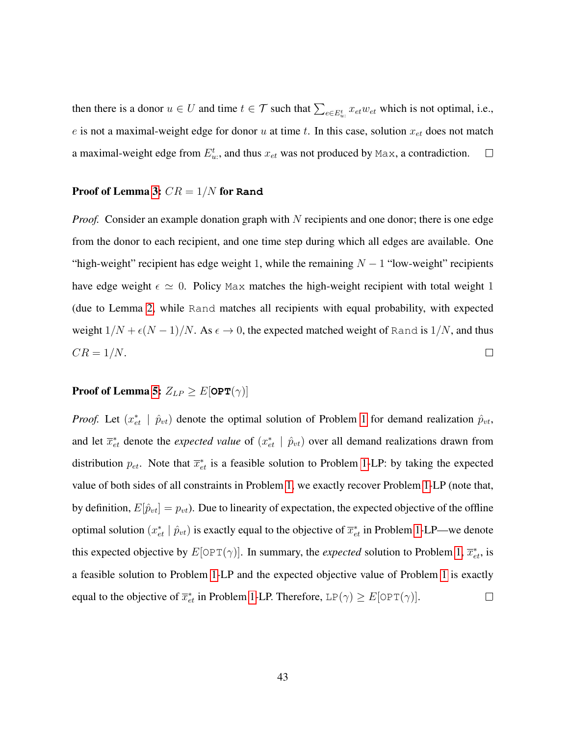then there is a donor  $u \in U$  and time  $t \in \mathcal{T}$  such that  $\sum_{e \in E_u^t} x_{e t} w_{e t}$  which is not optimal, i.e., e is not a maximal-weight edge for donor u at time t. In this case, solution  $x_{et}$  does not match a maximal-weight edge from  $E_{u}^{t}$ , and thus  $x_{et}$  was not produced by Max, a contradiction.  $\Box$ 

#### Proof of Lemma [3:](#page-16-2) CR = 1/N for **Rand**

*Proof.* Consider an example donation graph with N recipients and one donor; there is one edge from the donor to each recipient, and one time step during which all edges are available. One "high-weight" recipient has edge weight 1, while the remaining  $N - 1$  "low-weight" recipients have edge weight  $\epsilon \simeq 0$ . Policy Max matches the high-weight recipient with total weight 1 (due to Lemma [2,](#page-16-1) while Rand matches all recipients with equal probability, with expected weight  $1/N + \epsilon (N - 1)/N$ . As  $\epsilon \to 0$ , the expected matched weight of Rand is  $1/N$ , and thus  $CR = 1/N$ .  $\Box$ 

# **Proof of Lemma [5:](#page-17-0)**  $Z_{LP} \geq E[\textbf{OPT}(\gamma)]$

*Proof.* Let  $(x_{et}^* | \hat{p}_{vt})$  denote the optimal solution of Problem [1](#page-13-0) for demand realization  $\hat{p}_{vt}$ , and let  $\bar{x}_{et}^*$  denote the *expected value* of  $(x_{et}^* | \hat{p}_{vt})$  over all demand realizations drawn from distribution  $p_{et}$ . Note that  $\overline{x}_{et}^*$  is a feasible solution to Problem [1-](#page-13-0)LP: by taking the expected value of both sides of all constraints in Problem [1,](#page-13-0) we exactly recover Problem [1-](#page-13-0)LP (note that, by definition,  $E[\hat{p}_{vt}] = p_{vt}$ . Due to linearity of expectation, the expected objective of the offline optimal solution  $(x_{et}^* | \hat{p}_{vt})$  is exactly equal to the objective of  $\bar{x}_{et}^*$  in Problem [1-](#page-13-0)LP—we denote this expected objective by  $E[OPT(\gamma)]$ . In summary, the *expected* solution to Problem [1,](#page-13-0)  $\overline{x}_{et}^*$ , is a feasible solution to Problem [1-](#page-13-0)LP and the expected objective value of Problem [1](#page-13-0) is exactly equal to the objective of  $\overline{x}_{et}^*$  in Problem [1-](#page-13-0)LP. Therefore, LP( $\gamma$ )  $\geq E[\text{OPT}(\gamma)]$ .  $\Box$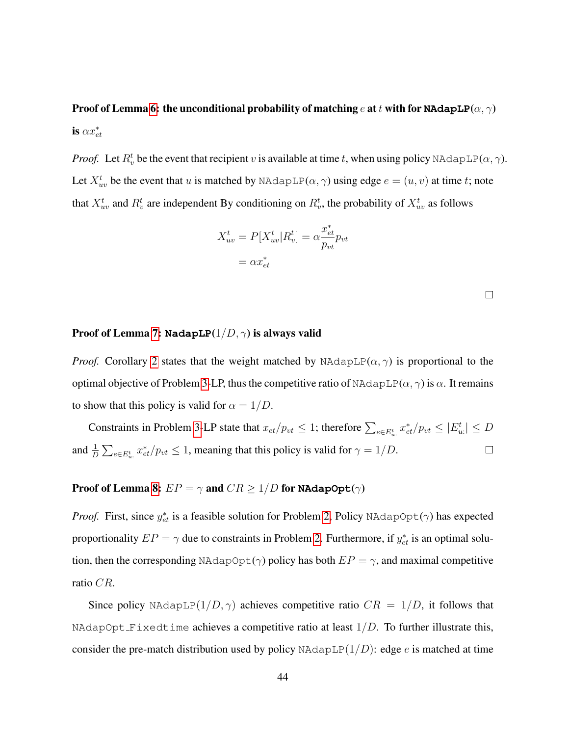Proof of Lemma [6:](#page-18-0) the unconditional probability of matching e at t with for **NAdapLP**( $\alpha$ ,  $\gamma$ ) is  $\alpha x_{et}^*$ 

*Proof.* Let  $R_v^t$  be the event that recipient v is available at time t, when using policy NAdapLP( $\alpha$ ,  $\gamma$ ). Let  $X_{uv}^t$  be the event that u is matched by NAdapLP( $\alpha$ ,  $\gamma$ ) using edge  $e = (u, v)$  at time t; note that  $X_{uv}^t$  and  $R_v^t$  are independent By conditioning on  $R_v^t$ , the probability of  $X_{uv}^t$  as follows

$$
X_{uv}^t = P[X_{uv}^t | R_v^t] = \alpha \frac{x_{et}^*}{p_{vt}} p_{vt}
$$

$$
= \alpha x_{et}^*
$$

 $\Box$ 

#### Proof of Lemma [7:](#page-19-0) **NadapLP**(1/D, γ) is always valid

*Proof.* Corollary [2](#page-19-1) states that the weight matched by NAdapLP( $\alpha$ ,  $\gamma$ ) is proportional to the optimal objective of Problem [3-](#page-44-1)LP, thus the competitive ratio of NAdapLP( $\alpha$ ,  $\gamma$ ) is  $\alpha$ . It remains to show that this policy is valid for  $\alpha = 1/D$ .

Constraints in Problem [3-](#page-44-1)LP state that  $x_{et}/p_{vt} \leq 1$ ; therefore  $\sum_{e \in E_{ut}^t} x_{et}^*/p_{vt} \leq |E_{ut}^t| \leq D$ and  $\frac{1}{D} \sum_{e \in E_{u}^t} x_{et}^*/p_{vt} \le 1$ , meaning that this policy is valid for  $\gamma = 1/D$ .  $\Box$ 

### **Proof of Lemma [8:](#page-20-1)**  $EP = \gamma$  and  $CR \ge 1/D$  for **NAdapOpt**( $\gamma$ )

*Proof.* First, since  $y_{et}^*$  is a feasible solution for Problem [2,](#page-20-0) Policy NAdapOpt( $\gamma$ ) has expected proportionality  $EP = \gamma$  due to constraints in Problem [2.](#page-20-0) Furthermore, if  $y_{et}^*$  is an optimal solution, then the corresponding NAdapOpt( $\gamma$ ) policy has both  $EP = \gamma$ , and maximal competitive ratio CR.

Since policy NAdapLP $(1/D, \gamma)$  achieves competitive ratio  $CR = 1/D$ , it follows that NAdapOpt Fixedtime achieves a competitive ratio at least  $1/D$ . To further illustrate this, consider the pre-match distribution used by policy NAdapLP $(1/D)$ : edge e is matched at time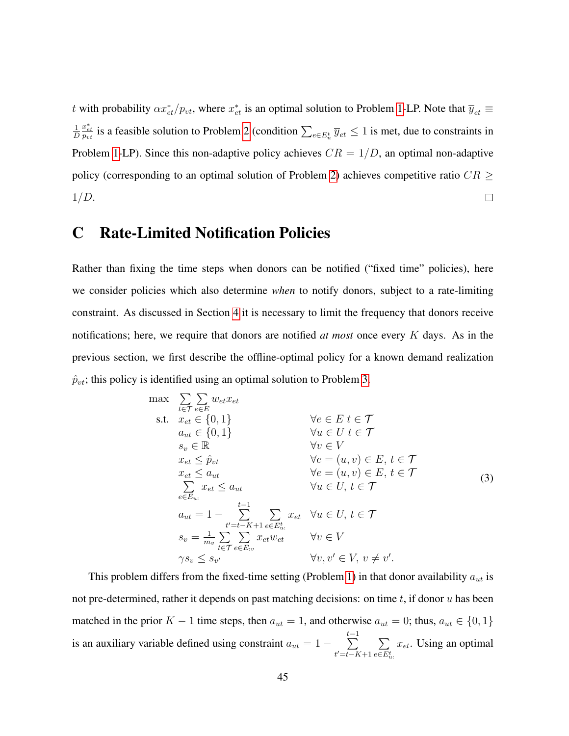t with probability  $\alpha x_{et}^*/p_{vt}$ , where  $x_{et}^*$  is an optimal solution to Problem [1-](#page-13-0)LP. Note that  $\overline{y}_{et}$   $\equiv$  $\frac{x_{et}^*}{p_{vt}}$  is a feasible solution to Problem [2](#page-20-0) (condition  $\sum_{e \in E_u^t} \overline{y}_{et} \le 1$  is met, due to constraints in 1 D Problem [1-](#page-13-0)LP). Since this non-adaptive policy achieves  $CR = 1/D$ , an optimal non-adaptive policy (corresponding to an optimal solution of Problem [2\)](#page-20-0) achieves competitive ratio  $CR \geq$  $1/D$ .  $\Box$ 

# <span id="page-44-0"></span>C Rate-Limited Notification Policies

Rather than fixing the time steps when donors can be notified ("fixed time" policies), here we consider policies which also determine *when* to notify donors, subject to a rate-limiting constraint. As discussed in Section [4](#page-12-1) it is necessary to limit the frequency that donors receive notifications; here, we require that donors are notified *at most* once every K days. As in the previous section, we first describe the offline-optimal policy for a known demand realization  $\hat{p}_{vt}$ ; this policy is identified using an optimal solution to Problem [3.](#page-44-1)

<span id="page-44-1"></span>
$$
\max \sum_{t \in \mathcal{T}} \sum_{e \in E} w_{et} x_{et}
$$
\n
$$
\text{s.t.} \quad x_{et} \in \{0, 1\} \qquad \forall e \in E \ t \in \mathcal{T}
$$
\n
$$
a_{ut} \in \{0, 1\} \qquad \forall u \in U \ t \in \mathcal{T}
$$
\n
$$
s_v \in \mathbb{R} \qquad \forall v \in V
$$
\n
$$
x_{et} \leq \hat{p}_{vt} \qquad \forall e = (u, v) \in E, t \in \mathcal{T}
$$
\n
$$
x_{et} \leq a_{ut} \qquad \forall e = (u, v) \in E, t \in \mathcal{T}
$$
\n
$$
\sum_{e \in E_{u}:} x_{et} \leq a_{ut} \qquad \forall u \in U, t \in \mathcal{T}
$$
\n
$$
a_{ut} = 1 - \sum_{t'=t-K+1}^{t-1} \sum_{e \in E_{u}:} x_{et} \qquad \forall u \in U, t \in \mathcal{T}
$$
\n
$$
s_v = \frac{1}{m_v} \sum_{t \in \mathcal{T}} \sum_{e \in E_{cv}} x_{et} w_{et} \qquad \forall v \in V
$$
\n
$$
\gamma s_v \leq s_{v'} \qquad \forall v, v' \in V, v \neq v'.
$$
\n
$$
(3)
$$

This problem differs from the fixed-time setting (Problem [1\)](#page-13-0) in that donor availability  $a_{ut}$  is not pre-determined, rather it depends on past matching decisions: on time  $t$ , if donor  $u$  has been matched in the prior K – 1 time steps, then  $a_{ut} = 1$ , and otherwise  $a_{ut} = 0$ ; thus,  $a_{ut} \in \{0, 1\}$ is an auxiliary variable defined using constraint  $a_{ut} = 1 \sum_{ }^{t-1}$  $t'=t-K+1$  $\sum$  $e \in E_u^t$  $x_{et}$ . Using an optimal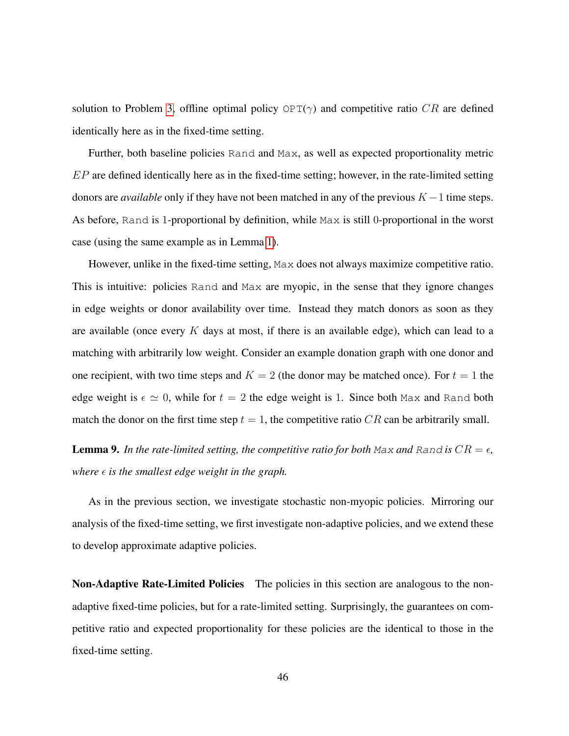solution to Problem [3,](#page-44-1) offline optimal policy  $OPT(\gamma)$  and competitive ratio CR are defined identically here as in the fixed-time setting.

Further, both baseline policies Rand and Max, as well as expected proportionality metric  $EP$  are defined identically here as in the fixed-time setting; however, in the rate-limited setting donors are *available* only if they have not been matched in any of the previous  $K - 1$  time steps. As before, Rand is 1-proportional by definition, while Max is still 0-proportional in the worst case (using the same example as in Lemma [1\)](#page-16-0).

However, unlike in the fixed-time setting, Max does not always maximize competitive ratio. This is intuitive: policies Rand and Max are myopic, in the sense that they ignore changes in edge weights or donor availability over time. Instead they match donors as soon as they are available (once every  $K$  days at most, if there is an available edge), which can lead to a matching with arbitrarily low weight. Consider an example donation graph with one donor and one recipient, with two time steps and  $K = 2$  (the donor may be matched once). For  $t = 1$  the edge weight is  $\epsilon \simeq 0$ , while for  $t = 2$  the edge weight is 1. Since both Max and Rand both match the donor on the first time step  $t = 1$ , the competitive ratio CR can be arbitrarily small.

**Lemma 9.** In the rate-limited setting, the competitive ratio for both Max and Rand is  $CR = \epsilon$ , *where*  $\epsilon$  *is the smallest edge weight in the graph.* 

As in the previous section, we investigate stochastic non-myopic policies. Mirroring our analysis of the fixed-time setting, we first investigate non-adaptive policies, and we extend these to develop approximate adaptive policies.

Non-Adaptive Rate-Limited Policies The policies in this section are analogous to the nonadaptive fixed-time policies, but for a rate-limited setting. Surprisingly, the guarantees on competitive ratio and expected proportionality for these policies are the identical to those in the fixed-time setting.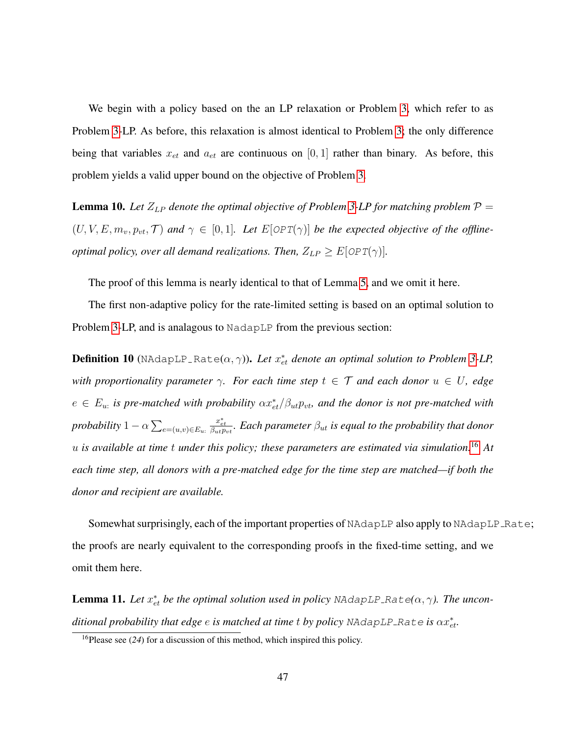We begin with a policy based on the an LP relaxation or Problem [3,](#page-44-1) which refer to as Problem [3-](#page-44-1)LP. As before, this relaxation is almost identical to Problem [3;](#page-44-1) the only difference being that variables  $x_{et}$  and  $a_{et}$  are continuous on [0, 1] rather than binary. As before, this problem yields a valid upper bound on the objective of Problem [3.](#page-44-1)

**Lemma 10.** Let  $Z_{LP}$  denote the optimal objective of Problem [3-](#page-44-1)LP for matching problem  $P =$  $(U, V, E, m_v, p_{vt}, \mathcal{T})$  and  $\gamma \in [0, 1]$ . Let  $E[OPT(\gamma)]$  be the expected objective of the offline*optimal policy, over all demand realizations. Then,*  $Z_{LP} \geq E[OPT(\gamma)]$ *.* 

The proof of this lemma is nearly identical to that of Lemma [5,](#page-17-0) and we omit it here.

The first non-adaptive policy for the rate-limited setting is based on an optimal solution to Problem [3-](#page-44-1)LP, and is analagous to NadapLP from the previous section:

**Definition 10** (NAdapLP\_Rate $(\alpha, \gamma)$ ). Let  $x_{et}^*$  denote an optimal solution to Problem [3-](#page-44-1)LP, *with proportionality parameter*  $\gamma$ *. For each time step*  $t \in \mathcal{T}$  *and each donor*  $u \in U$ *, edge*  $e \in E_u$ : is pre-matched with probability  $\alpha x_{et}^*/\beta_{ut} p_{vt}$ , and the donor is not pre-matched with probability  $1 - \alpha \sum_{e = (u,v) \in E_u}$  $\frac{x_{et}^*}{\beta_{ut} p_{vt}}$ . Each parameter  $\beta_{ut}$  is equal to the probability that donor u *is available at time* t *under this policy; these parameters are estimated via simulation.*[16](#page-46-0) *At each time step, all donors with a pre-matched edge for the time step are matched—if both the donor and recipient are available.*

Somewhat surprisingly, each of the important properties of NAdapLP also apply to NAdapLP\_Rate; the proofs are nearly equivalent to the corresponding proofs in the fixed-time setting, and we omit them here.

**Lemma 11.** Let  $x_{et}^*$  be the optimal solution used in policy NAdapLP\_Rate( $\alpha$ ,  $\gamma$ ). The uncon- $\hat{a}$  ditional probability that edge  $e$  is matched at time  $t$  by policy <code>NAdapLP\_Rate</code> is  $\alpha x_{et}^*$ .

<span id="page-46-0"></span><sup>16</sup>Please see (*24*) for a discussion of this method, which inspired this policy.